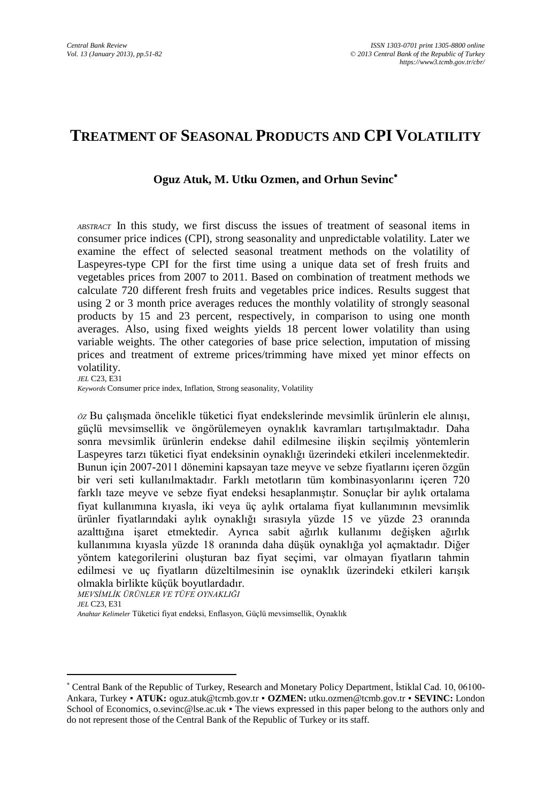# **TREATMENT OF SEASONAL PRODUCTS AND CPI VOLATILITY**

#### **Oguz Atuk, M. Utku Ozmen, and Orhun Sevinc**

*ABSTRACT* In this study, we first discuss the issues of treatment of seasonal items in consumer price indices (CPI), strong seasonality and unpredictable volatility. Later we examine the effect of selected seasonal treatment methods on the volatility of Laspeyres-type CPI for the first time using a unique data set of fresh fruits and vegetables prices from 2007 to 2011. Based on combination of treatment methods we calculate 720 different fresh fruits and vegetables price indices. Results suggest that using 2 or 3 month price averages reduces the monthly volatility of strongly seasonal products by 15 and 23 percent, respectively, in comparison to using one month averages. Also, using fixed weights yields 18 percent lower volatility than using variable weights. The other categories of base price selection, imputation of missing prices and treatment of extreme prices/trimming have mixed yet minor effects on volatility.

*JEL* C23, E31

*Keywords* Consumer price index, Inflation, Strong seasonality, Volatility

*ÖZ* Bu çalışmada öncelikle tüketici fiyat endekslerinde mevsimlik ürünlerin ele alınışı, güçlü mevsimsellik ve öngörülemeyen oynaklık kavramları tartışılmaktadır. Daha sonra mevsimlik ürünlerin endekse dahil edilmesine ilişkin seçilmiş yöntemlerin Laspeyres tarzı tüketici fiyat endeksinin oynaklığı üzerindeki etkileri incelenmektedir. Bunun için 2007-2011 dönemini kapsayan taze meyve ve sebze fiyatlarını içeren özgün bir veri seti kullanılmaktadır. Farklı metotların tüm kombinasyonlarını içeren 720 farklı taze meyve ve sebze fiyat endeksi hesaplanmıştır. Sonuçlar bir aylık ortalama fiyat kullanımına kıyasla, iki veya üç aylık ortalama fiyat kullanımının mevsimlik ürünler fiyatlarındaki aylık oynaklığı sırasıyla yüzde 15 ve yüzde 23 oranında azalttığına işaret etmektedir. Ayrıca sabit ağırlık kullanımı değişken ağırlık kullanımına kıyasla yüzde 18 oranında daha düşük oynaklığa yol açmaktadır. Diğer yöntem kategorilerini oluşturan baz fiyat seçimi, var olmayan fiyatların tahmin edilmesi ve uç fiyatların düzeltilmesinin ise oynaklık üzerindeki etkileri karışık olmakla birlikte küçük boyutlardadır.

*MEVSİMLİK ÜRÜNLER VE TÜFE OYNAKLIĞI*

 $\overline{\phantom{a}}$ 

*JEL* C23, E31

*Anahtar Kelimeler* Tüketici fiyat endeksi, Enflasyon, Güçlü mevsimsellik, Oynaklık

Central Bank of the Republic of Turkey, Research and Monetary Policy Department, İstiklal Cad. 10, 06100- Ankara, Turkey ▪ **ATUK:** oguz.atuk@tcmb.gov.tr ▪ **OZMEN:** utku.ozmen@tcmb.gov.tr ▪ **SEVINC:** London School of Economics, o.sevinc@lse.ac.uk • The views expressed in this paper belong to the authors only and do not represent those of the Central Bank of the Republic of Turkey or its staff.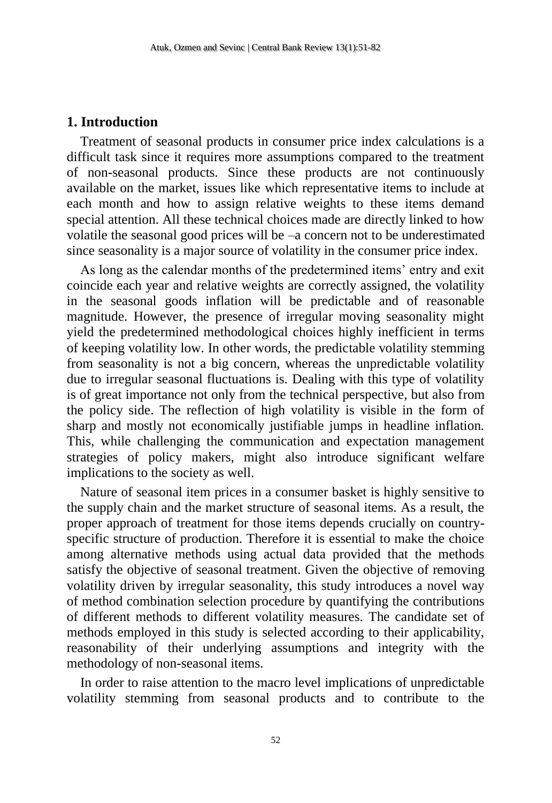### **1. Introduction**

Treatment of seasonal products in consumer price index calculations is a difficult task since it requires more assumptions compared to the treatment of non-seasonal products. Since these products are not continuously available on the market, issues like which representative items to include at each month and how to assign relative weights to these items demand special attention. All these technical choices made are directly linked to how volatile the seasonal good prices will be –a concern not to be underestimated since seasonality is a major source of volatility in the consumer price index.

As long as the calendar months of the predetermined items' entry and exit coincide each year and relative weights are correctly assigned, the volatility in the seasonal goods inflation will be predictable and of reasonable magnitude. However, the presence of irregular moving seasonality might yield the predetermined methodological choices highly inefficient in terms of keeping volatility low. In other words, the predictable volatility stemming from seasonality is not a big concern, whereas the unpredictable volatility due to irregular seasonal fluctuations is. Dealing with this type of volatility is of great importance not only from the technical perspective, but also from the policy side. The reflection of high volatility is visible in the form of sharp and mostly not economically justifiable jumps in headline inflation. This, while challenging the communication and expectation management strategies of policy makers, might also introduce significant welfare implications to the society as well.

Nature of seasonal item prices in a consumer basket is highly sensitive to the supply chain and the market structure of seasonal items. As a result, the proper approach of treatment for those items depends crucially on countryspecific structure of production. Therefore it is essential to make the choice among alternative methods using actual data provided that the methods satisfy the objective of seasonal treatment. Given the objective of removing volatility driven by irregular seasonality, this study introduces a novel way of method combination selection procedure by quantifying the contributions of different methods to different volatility measures. The candidate set of methods employed in this study is selected according to their applicability, reasonability of their underlying assumptions and integrity with the methodology of non-seasonal items.

In order to raise attention to the macro level implications of unpredictable volatility stemming from seasonal products and to contribute to the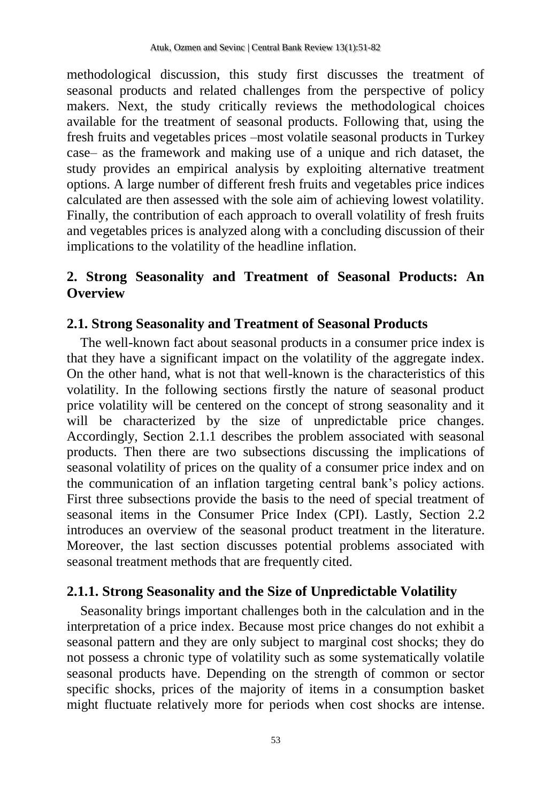methodological discussion, this study first discusses the treatment of seasonal products and related challenges from the perspective of policy makers. Next, the study critically reviews the methodological choices available for the treatment of seasonal products. Following that, using the fresh fruits and vegetables prices –most volatile seasonal products in Turkey case– as the framework and making use of a unique and rich dataset, the study provides an empirical analysis by exploiting alternative treatment options. A large number of different fresh fruits and vegetables price indices calculated are then assessed with the sole aim of achieving lowest volatility. Finally, the contribution of each approach to overall volatility of fresh fruits and vegetables prices is analyzed along with a concluding discussion of their implications to the volatility of the headline inflation.

# **2. Strong Seasonality and Treatment of Seasonal Products: An Overview**

# **2.1. Strong Seasonality and Treatment of Seasonal Products**

The well-known fact about seasonal products in a consumer price index is that they have a significant impact on the volatility of the aggregate index. On the other hand, what is not that well-known is the characteristics of this volatility. In the following sections firstly the nature of seasonal product price volatility will be centered on the concept of strong seasonality and it will be characterized by the size of unpredictable price changes. Accordingly, Section 2.1.1 describes the problem associated with seasonal products. Then there are two subsections discussing the implications of seasonal volatility of prices on the quality of a consumer price index and on the communication of an inflation targeting central bank's policy actions. First three subsections provide the basis to the need of special treatment of seasonal items in the Consumer Price Index (CPI). Lastly, Section 2.2 introduces an overview of the seasonal product treatment in the literature. Moreover, the last section discusses potential problems associated with seasonal treatment methods that are frequently cited.

# **2.1.1. Strong Seasonality and the Size of Unpredictable Volatility**

Seasonality brings important challenges both in the calculation and in the interpretation of a price index. Because most price changes do not exhibit a seasonal pattern and they are only subject to marginal cost shocks; they do not possess a chronic type of volatility such as some systematically volatile seasonal products have. Depending on the strength of common or sector specific shocks, prices of the majority of items in a consumption basket might fluctuate relatively more for periods when cost shocks are intense.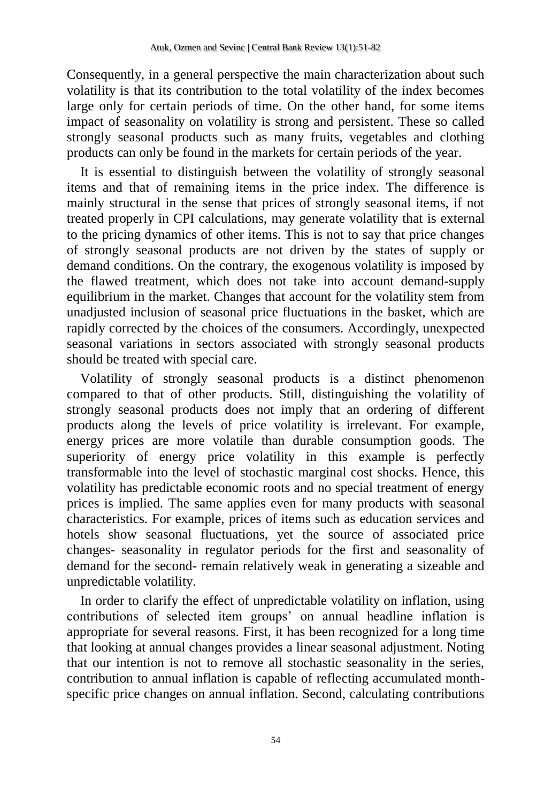Consequently, in a general perspective the main characterization about such volatility is that its contribution to the total volatility of the index becomes large only for certain periods of time. On the other hand, for some items impact of seasonality on volatility is strong and persistent. These so called strongly seasonal products such as many fruits, vegetables and clothing products can only be found in the markets for certain periods of the year.

It is essential to distinguish between the volatility of strongly seasonal items and that of remaining items in the price index. The difference is mainly structural in the sense that prices of strongly seasonal items, if not treated properly in CPI calculations, may generate volatility that is external to the pricing dynamics of other items. This is not to say that price changes of strongly seasonal products are not driven by the states of supply or demand conditions. On the contrary, the exogenous volatility is imposed by the flawed treatment, which does not take into account demand-supply equilibrium in the market. Changes that account for the volatility stem from unadjusted inclusion of seasonal price fluctuations in the basket, which are rapidly corrected by the choices of the consumers. Accordingly, unexpected seasonal variations in sectors associated with strongly seasonal products should be treated with special care.

Volatility of strongly seasonal products is a distinct phenomenon compared to that of other products. Still, distinguishing the volatility of strongly seasonal products does not imply that an ordering of different products along the levels of price volatility is irrelevant. For example, energy prices are more volatile than durable consumption goods. The superiority of energy price volatility in this example is perfectly transformable into the level of stochastic marginal cost shocks. Hence, this volatility has predictable economic roots and no special treatment of energy prices is implied. The same applies even for many products with seasonal characteristics. For example, prices of items such as education services and hotels show seasonal fluctuations, yet the source of associated price changes- seasonality in regulator periods for the first and seasonality of demand for the second- remain relatively weak in generating a sizeable and unpredictable volatility.

In order to clarify the effect of unpredictable volatility on inflation, using contributions of selected item groups' on annual headline inflation is appropriate for several reasons. First, it has been recognized for a long time that looking at annual changes provides a linear seasonal adjustment. Noting that our intention is not to remove all stochastic seasonality in the series, contribution to annual inflation is capable of reflecting accumulated monthspecific price changes on annual inflation. Second, calculating contributions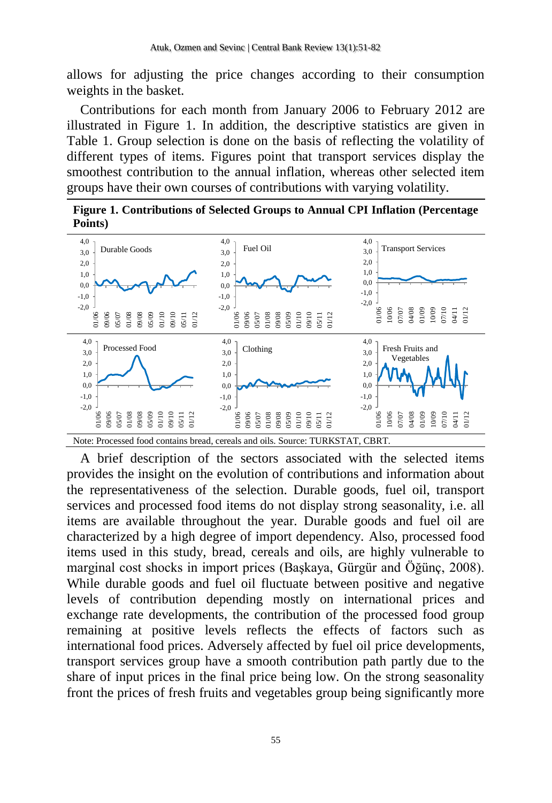allows for adjusting the price changes according to their consumption weights in the basket.

Contributions for each month from January 2006 to February 2012 are illustrated in Figure 1. In addition, the descriptive statistics are given in Table 1. Group selection is done on the basis of reflecting the volatility of different types of items. Figures point that transport services display the smoothest contribution to the annual inflation, whereas other selected item groups have their own courses of contributions with varying volatility.





A brief description of the sectors associated with the selected items provides the insight on the evolution of contributions and information about the representativeness of the selection. Durable goods, fuel oil, transport services and processed food items do not display strong seasonality, i.e. all items are available throughout the year. Durable goods and fuel oil are characterized by a high degree of import dependency. Also, processed food items used in this study, bread, cereals and oils, are highly vulnerable to marginal cost shocks in import prices (Başkaya, Gürgür and Öğünç, 2008). While durable goods and fuel oil fluctuate between positive and negative levels of contribution depending mostly on international prices and exchange rate developments, the contribution of the processed food group remaining at positive levels reflects the effects of factors such as international food prices. Adversely affected by fuel oil price developments, transport services group have a smooth contribution path partly due to the share of input prices in the final price being low. On the strong seasonality front the prices of fresh fruits and vegetables group being significantly more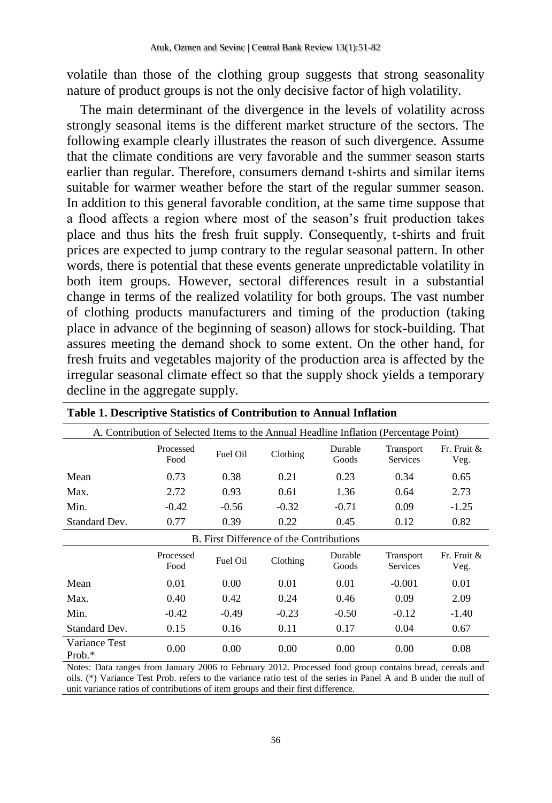volatile than those of the clothing group suggests that strong seasonality nature of product groups is not the only decisive factor of high volatility.

The main determinant of the divergence in the levels of volatility across strongly seasonal items is the different market structure of the sectors. The following example clearly illustrates the reason of such divergence. Assume that the climate conditions are very favorable and the summer season starts earlier than regular. Therefore, consumers demand t-shirts and similar items suitable for warmer weather before the start of the regular summer season. In addition to this general favorable condition, at the same time suppose that a flood affects a region where most of the season's fruit production takes place and thus hits the fresh fruit supply. Consequently, t-shirts and fruit prices are expected to jump contrary to the regular seasonal pattern. In other words, there is potential that these events generate unpredictable volatility in both item groups. However, sectoral differences result in a substantial change in terms of the realized volatility for both groups. The vast number of clothing products manufacturers and timing of the production (taking place in advance of the beginning of season) allows for stock-building. That assures meeting the demand shock to some extent. On the other hand, for fresh fruits and vegetables majority of the production area is affected by the irregular seasonal climate effect so that the supply shock yields a temporary decline in the aggregate supply.

| A. Contribution of Selected Items to the Annual Headline Inflation (Percentage Point) |                                                                                                                      |          |                                          |                  |                              |                     |  |  |
|---------------------------------------------------------------------------------------|----------------------------------------------------------------------------------------------------------------------|----------|------------------------------------------|------------------|------------------------------|---------------------|--|--|
|                                                                                       | Processed<br>Food                                                                                                    | Fuel Oil | Clothing                                 | Durable<br>Goods | Transport<br><b>Services</b> | Fr. Fruit &<br>Veg. |  |  |
| Mean                                                                                  | 0.73                                                                                                                 | 0.38     | 0.21                                     | 0.23             | 0.34                         | 0.65                |  |  |
| Max.                                                                                  | 2.72                                                                                                                 | 0.93     | 0.61                                     | 1.36             | 0.64                         | 2.73                |  |  |
| Min.                                                                                  | $-0.42$                                                                                                              | $-0.56$  | $-0.32$                                  | $-0.71$          | 0.09                         | $-1.25$             |  |  |
| Standard Dev.                                                                         | 0.77                                                                                                                 | 0.39     | 0.22                                     | 0.45             | 0.12                         | 0.82                |  |  |
|                                                                                       |                                                                                                                      |          | B. First Difference of the Contributions |                  |                              |                     |  |  |
|                                                                                       | Durable<br>Fr. Fruit &<br>Processed<br>Transport<br>Fuel Oil<br>Clothing<br>Goods<br>Food<br><b>Services</b><br>Veg. |          |                                          |                  |                              |                     |  |  |
| Mean                                                                                  | 0.01                                                                                                                 | 0.00     | 0.01                                     | 0.01             | $-0.001$                     | 0.01                |  |  |
| Max.                                                                                  | 0.40                                                                                                                 | 0.42     | 0.24                                     | 0.46             | 0.09                         | 2.09                |  |  |
| Min.                                                                                  | $-0.42$                                                                                                              | $-0.49$  | $-0.23$                                  | $-0.50$          | $-0.12$                      | $-1.40$             |  |  |
| Standard Dev.                                                                         | 0.15                                                                                                                 | 0.16     | 0.11                                     | 0.17             | 0.04                         | 0.67                |  |  |
| Variance Test<br>Prob.*                                                               | 0.00                                                                                                                 | 0.00     | 0.00                                     | 0.00             | 0.00                         | 0.08                |  |  |

<span id="page-5-0"></span>

| Table 1. Descriptive Statistics of Contribution to Annual Inflation |  |  |
|---------------------------------------------------------------------|--|--|
|---------------------------------------------------------------------|--|--|

Notes: Data ranges from January 2006 to February 2012. Processed food group contains bread, cereals and oils. (\*) Variance Test Prob. refers to the variance ratio test of the series in Panel A and B under the null of unit variance ratios of contributions of item groups and their first difference.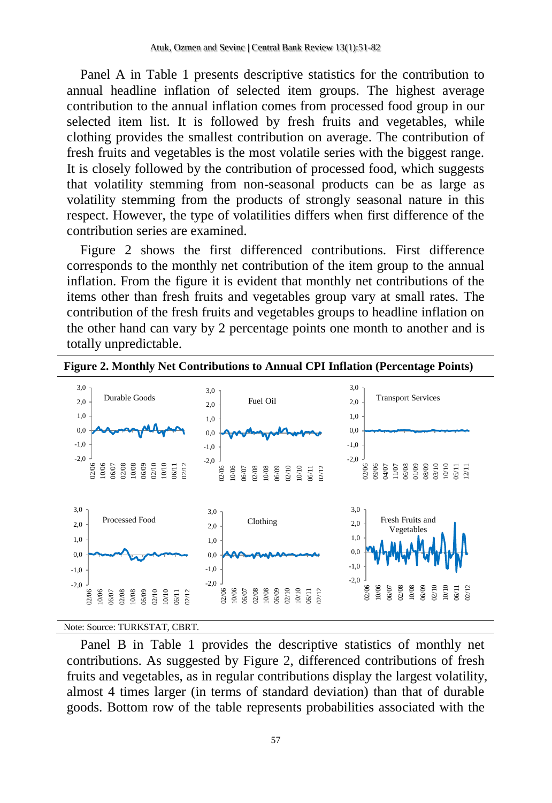Panel A in [Table 1](#page-5-0) presents descriptive statistics for the contribution to annual headline inflation of selected item groups. The highest average contribution to the annual inflation comes from processed food group in our selected item list. It is followed by fresh fruits and vegetables, while clothing provides the smallest contribution on average. The contribution of fresh fruits and vegetables is the most volatile series with the biggest range. It is closely followed by the contribution of processed food, which suggests that volatility stemming from non-seasonal products can be as large as volatility stemming from the products of strongly seasonal nature in this respect. However, the type of volatilities differs when first difference of the contribution series are examined.

Figure 2 shows the first differenced contributions. First difference corresponds to the monthly net contribution of the item group to the annual inflation. From the figure it is evident that monthly net contributions of the items other than fresh fruits and vegetables group vary at small rates. The contribution of the fresh fruits and vegetables groups to headline inflation on the other hand can vary by 2 percentage points one month to another and is totally unpredictable.



Note: Source: TURKSTAT, CBRT.

Panel B in Table 1 provides the descriptive statistics of monthly net contributions. As suggested by Figure 2, differenced contributions of fresh fruits and vegetables, as in regular contributions display the largest volatility, almost 4 times larger (in terms of standard deviation) than that of durable goods. Bottom row of the table represents probabilities associated with the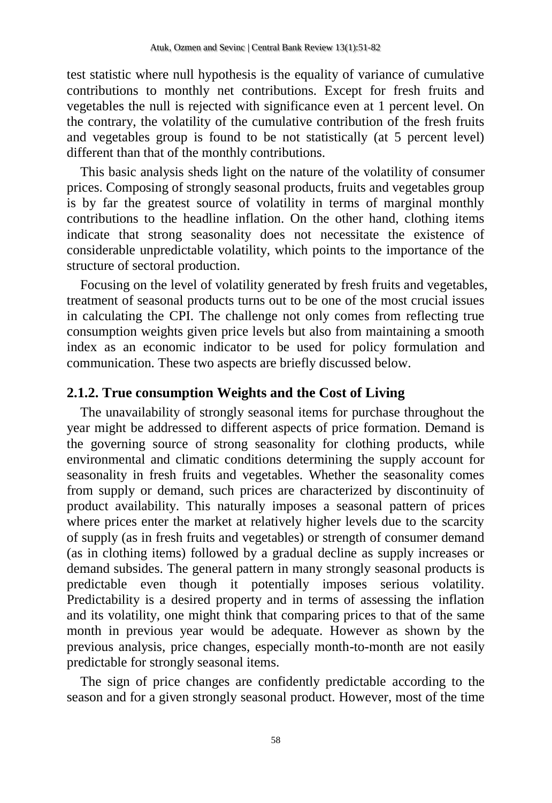test statistic where null hypothesis is the equality of variance of cumulative contributions to monthly net contributions. Except for fresh fruits and vegetables the null is rejected with significance even at 1 percent level. On the contrary, the volatility of the cumulative contribution of the fresh fruits and vegetables group is found to be not statistically (at 5 percent level) different than that of the monthly contributions.

This basic analysis sheds light on the nature of the volatility of consumer prices. Composing of strongly seasonal products, fruits and vegetables group is by far the greatest source of volatility in terms of marginal monthly contributions to the headline inflation. On the other hand, clothing items indicate that strong seasonality does not necessitate the existence of considerable unpredictable volatility, which points to the importance of the structure of sectoral production.

Focusing on the level of volatility generated by fresh fruits and vegetables, treatment of seasonal products turns out to be one of the most crucial issues in calculating the CPI. The challenge not only comes from reflecting true consumption weights given price levels but also from maintaining a smooth index as an economic indicator to be used for policy formulation and communication. These two aspects are briefly discussed below.

### **2.1.2. True consumption Weights and the Cost of Living**

The unavailability of strongly seasonal items for purchase throughout the year might be addressed to different aspects of price formation. Demand is the governing source of strong seasonality for clothing products, while environmental and climatic conditions determining the supply account for seasonality in fresh fruits and vegetables. Whether the seasonality comes from supply or demand, such prices are characterized by discontinuity of product availability. This naturally imposes a seasonal pattern of prices where prices enter the market at relatively higher levels due to the scarcity of supply (as in fresh fruits and vegetables) or strength of consumer demand (as in clothing items) followed by a gradual decline as supply increases or demand subsides. The general pattern in many strongly seasonal products is predictable even though it potentially imposes serious volatility. Predictability is a desired property and in terms of assessing the inflation and its volatility, one might think that comparing prices to that of the same month in previous year would be adequate. However as shown by the previous analysis, price changes, especially month-to-month are not easily predictable for strongly seasonal items.

The sign of price changes are confidently predictable according to the season and for a given strongly seasonal product. However, most of the time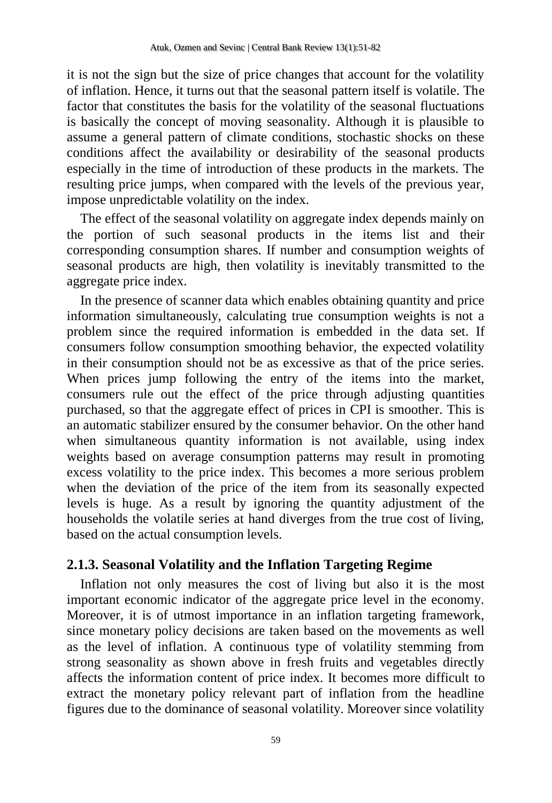it is not the sign but the size of price changes that account for the volatility of inflation. Hence, it turns out that the seasonal pattern itself is volatile. The factor that constitutes the basis for the volatility of the seasonal fluctuations is basically the concept of moving seasonality. Although it is plausible to assume a general pattern of climate conditions, stochastic shocks on these conditions affect the availability or desirability of the seasonal products especially in the time of introduction of these products in the markets. The resulting price jumps, when compared with the levels of the previous year, impose unpredictable volatility on the index.

The effect of the seasonal volatility on aggregate index depends mainly on the portion of such seasonal products in the items list and their corresponding consumption shares. If number and consumption weights of seasonal products are high, then volatility is inevitably transmitted to the aggregate price index.

In the presence of scanner data which enables obtaining quantity and price information simultaneously, calculating true consumption weights is not a problem since the required information is embedded in the data set. If consumers follow consumption smoothing behavior, the expected volatility in their consumption should not be as excessive as that of the price series. When prices jump following the entry of the items into the market, consumers rule out the effect of the price through adjusting quantities purchased, so that the aggregate effect of prices in CPI is smoother. This is an automatic stabilizer ensured by the consumer behavior. On the other hand when simultaneous quantity information is not available, using index weights based on average consumption patterns may result in promoting excess volatility to the price index. This becomes a more serious problem when the deviation of the price of the item from its seasonally expected levels is huge. As a result by ignoring the quantity adjustment of the households the volatile series at hand diverges from the true cost of living, based on the actual consumption levels.

### **2.1.3. Seasonal Volatility and the Inflation Targeting Regime**

Inflation not only measures the cost of living but also it is the most important economic indicator of the aggregate price level in the economy. Moreover, it is of utmost importance in an inflation targeting framework, since monetary policy decisions are taken based on the movements as well as the level of inflation. A continuous type of volatility stemming from strong seasonality as shown above in fresh fruits and vegetables directly affects the information content of price index. It becomes more difficult to extract the monetary policy relevant part of inflation from the headline figures due to the dominance of seasonal volatility. Moreover since volatility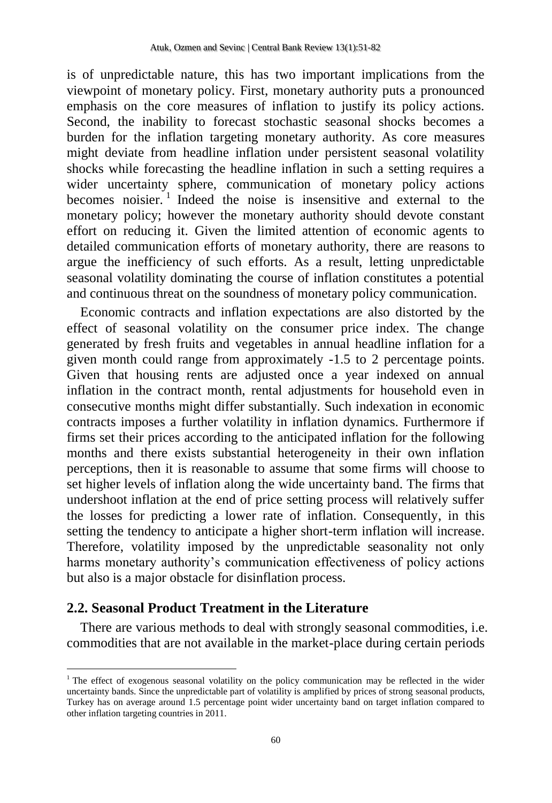is of unpredictable nature, this has two important implications from the viewpoint of monetary policy. First, monetary authority puts a pronounced emphasis on the core measures of inflation to justify its policy actions. Second, the inability to forecast stochastic seasonal shocks becomes a burden for the inflation targeting monetary authority. As core measures might deviate from headline inflation under persistent seasonal volatility shocks while forecasting the headline inflation in such a setting requires a wider uncertainty sphere, communication of monetary policy actions becomes noisier. 1 Indeed the noise is insensitive and external to the monetary policy; however the monetary authority should devote constant effort on reducing it. Given the limited attention of economic agents to detailed communication efforts of monetary authority, there are reasons to argue the inefficiency of such efforts. As a result, letting unpredictable seasonal volatility dominating the course of inflation constitutes a potential and continuous threat on the soundness of monetary policy communication.

Economic contracts and inflation expectations are also distorted by the effect of seasonal volatility on the consumer price index. The change generated by fresh fruits and vegetables in annual headline inflation for a given month could range from approximately -1.5 to 2 percentage points. Given that housing rents are adjusted once a year indexed on annual inflation in the contract month, rental adjustments for household even in consecutive months might differ substantially. Such indexation in economic contracts imposes a further volatility in inflation dynamics. Furthermore if firms set their prices according to the anticipated inflation for the following months and there exists substantial heterogeneity in their own inflation perceptions, then it is reasonable to assume that some firms will choose to set higher levels of inflation along the wide uncertainty band. The firms that undershoot inflation at the end of price setting process will relatively suffer the losses for predicting a lower rate of inflation. Consequently, in this setting the tendency to anticipate a higher short-term inflation will increase. Therefore, volatility imposed by the unpredictable seasonality not only harms monetary authority's communication effectiveness of policy actions but also is a major obstacle for disinflation process.

# **2.2. Seasonal Product Treatment in the Literature**

 $\overline{\phantom{a}}$ 

There are various methods to deal with strongly seasonal commodities, i.e. commodities that are not available in the market-place during certain periods

<sup>&</sup>lt;sup>1</sup> The effect of exogenous seasonal volatility on the policy communication may be reflected in the wider uncertainty bands. Since the unpredictable part of volatility is amplified by prices of strong seasonal products, Turkey has on average around 1.5 percentage point wider uncertainty band on target inflation compared to other inflation targeting countries in 2011.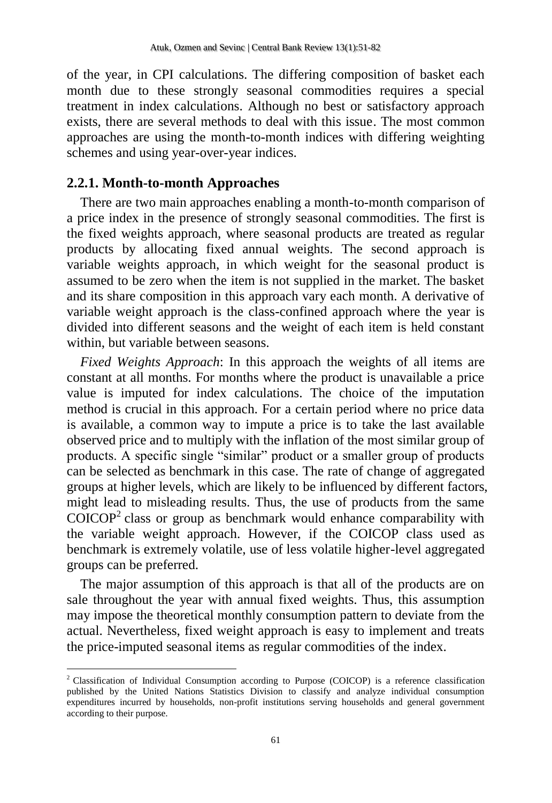of the year, in CPI calculations. The differing composition of basket each month due to these strongly seasonal commodities requires a special treatment in index calculations. Although no best or satisfactory approach exists, there are several methods to deal with this issue. The most common approaches are using the month-to-month indices with differing weighting schemes and using year-over-year indices.

### **2.2.1. Month-to-month Approaches**

 $\overline{\phantom{a}}$ 

There are two main approaches enabling a month-to-month comparison of a price index in the presence of strongly seasonal commodities. The first is the fixed weights approach, where seasonal products are treated as regular products by allocating fixed annual weights. The second approach is variable weights approach, in which weight for the seasonal product is assumed to be zero when the item is not supplied in the market. The basket and its share composition in this approach vary each month. A derivative of variable weight approach is the class-confined approach where the year is divided into different seasons and the weight of each item is held constant within, but variable between seasons.

*Fixed Weights Approach*: In this approach the weights of all items are constant at all months. For months where the product is unavailable a price value is imputed for index calculations. The choice of the imputation method is crucial in this approach. For a certain period where no price data is available, a common way to impute a price is to take the last available observed price and to multiply with the inflation of the most similar group of products. A specific single "similar" product or a smaller group of products can be selected as benchmark in this case. The rate of change of aggregated groups at higher levels, which are likely to be influenced by different factors, might lead to misleading results. Thus, the use of products from the same  $COICOP<sup>2</sup>$  class or group as benchmark would enhance comparability with the variable weight approach. However, if the COICOP class used as benchmark is extremely volatile, use of less volatile higher-level aggregated groups can be preferred.

The major assumption of this approach is that all of the products are on sale throughout the year with annual fixed weights. Thus, this assumption may impose the theoretical monthly consumption pattern to deviate from the actual. Nevertheless, fixed weight approach is easy to implement and treats the price-imputed seasonal items as regular commodities of the index.

<sup>2</sup> Classification of Individual Consumption according to Purpose (COICOP) is a reference classification published by the United Nations Statistics Division to classify and analyze individual consumption expenditures incurred by households, non-profit institutions serving households and general government according to their purpose.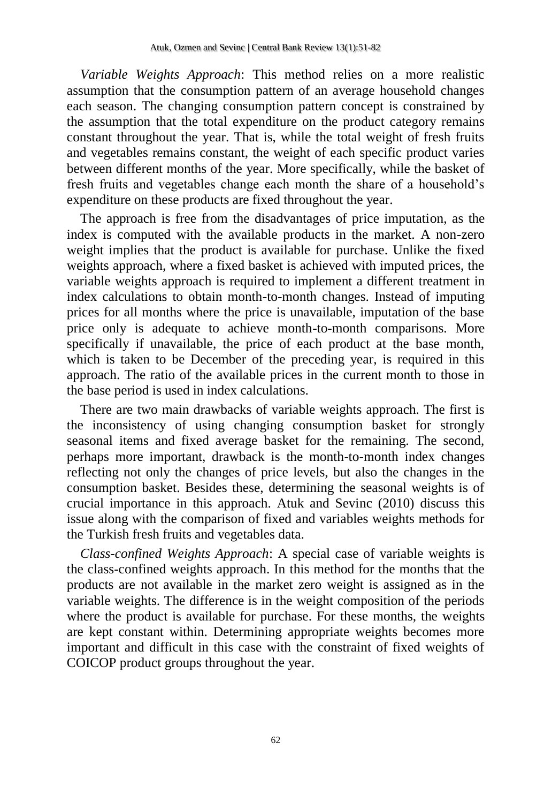*Variable Weights Approach*: This method relies on a more realistic assumption that the consumption pattern of an average household changes each season. The changing consumption pattern concept is constrained by the assumption that the total expenditure on the product category remains constant throughout the year. That is, while the total weight of fresh fruits and vegetables remains constant, the weight of each specific product varies between different months of the year. More specifically, while the basket of fresh fruits and vegetables change each month the share of a household's expenditure on these products are fixed throughout the year.

The approach is free from the disadvantages of price imputation, as the index is computed with the available products in the market. A non-zero weight implies that the product is available for purchase. Unlike the fixed weights approach, where a fixed basket is achieved with imputed prices, the variable weights approach is required to implement a different treatment in index calculations to obtain month-to-month changes. Instead of imputing prices for all months where the price is unavailable, imputation of the base price only is adequate to achieve month-to-month comparisons. More specifically if unavailable, the price of each product at the base month, which is taken to be December of the preceding year, is required in this approach. The ratio of the available prices in the current month to those in the base period is used in index calculations.

There are two main drawbacks of variable weights approach. The first is the inconsistency of using changing consumption basket for strongly seasonal items and fixed average basket for the remaining. The second, perhaps more important, drawback is the month-to-month index changes reflecting not only the changes of price levels, but also the changes in the consumption basket. Besides these, determining the seasonal weights is of crucial importance in this approach. Atuk and Sevinc (2010) discuss this issue along with the comparison of fixed and variables weights methods for the Turkish fresh fruits and vegetables data.

*Class-confined Weights Approach*: A special case of variable weights is the class-confined weights approach. In this method for the months that the products are not available in the market zero weight is assigned as in the variable weights. The difference is in the weight composition of the periods where the product is available for purchase. For these months, the weights are kept constant within. Determining appropriate weights becomes more important and difficult in this case with the constraint of fixed weights of COICOP product groups throughout the year.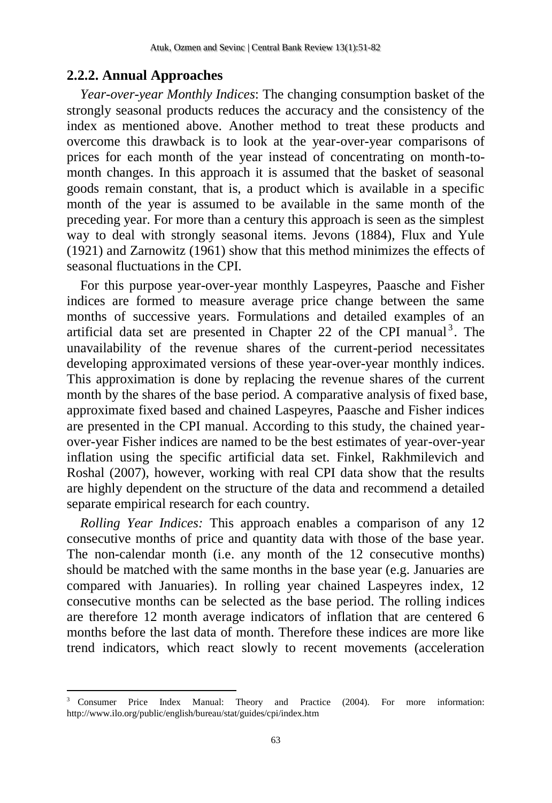### **2.2.2. Annual Approaches**

 $\overline{\phantom{a}}$ 

*Year-over-year Monthly Indices*: The changing consumption basket of the strongly seasonal products reduces the accuracy and the consistency of the index as mentioned above. Another method to treat these products and overcome this drawback is to look at the year-over-year comparisons of prices for each month of the year instead of concentrating on month-tomonth changes. In this approach it is assumed that the basket of seasonal goods remain constant, that is, a product which is available in a specific month of the year is assumed to be available in the same month of the preceding year. For more than a century this approach is seen as the simplest way to deal with strongly seasonal items. Jevons (1884), Flux and Yule (1921) and Zarnowitz (1961) show that this method minimizes the effects of seasonal fluctuations in the CPI.

For this purpose year-over-year monthly Laspeyres, Paasche and Fisher indices are formed to measure average price change between the same months of successive years. Formulations and detailed examples of an artificial data set are presented in Chapter 22 of the CPI manual<sup>3</sup>. The unavailability of the revenue shares of the current-period necessitates developing approximated versions of these year-over-year monthly indices. This approximation is done by replacing the revenue shares of the current month by the shares of the base period. A comparative analysis of fixed base, approximate fixed based and chained Laspeyres, Paasche and Fisher indices are presented in the CPI manual. According to this study, the chained yearover-year Fisher indices are named to be the best estimates of year-over-year inflation using the specific artificial data set. Finkel, Rakhmilevich and Roshal (2007), however, working with real CPI data show that the results are highly dependent on the structure of the data and recommend a detailed separate empirical research for each country.

*Rolling Year Indices:* This approach enables a comparison of any 12 consecutive months of price and quantity data with those of the base year. The non-calendar month (i.e. any month of the 12 consecutive months) should be matched with the same months in the base year (e.g. Januaries are compared with Januaries). In rolling year chained Laspeyres index, 12 consecutive months can be selected as the base period. The rolling indices are therefore 12 month average indicators of inflation that are centered 6 months before the last data of month. Therefore these indices are more like trend indicators, which react slowly to recent movements (acceleration

<sup>3</sup> Consumer Price Index Manual: Theory and Practice (2004). For more information: http://www.ilo.org/public/english/bureau/stat/guides/cpi/index.htm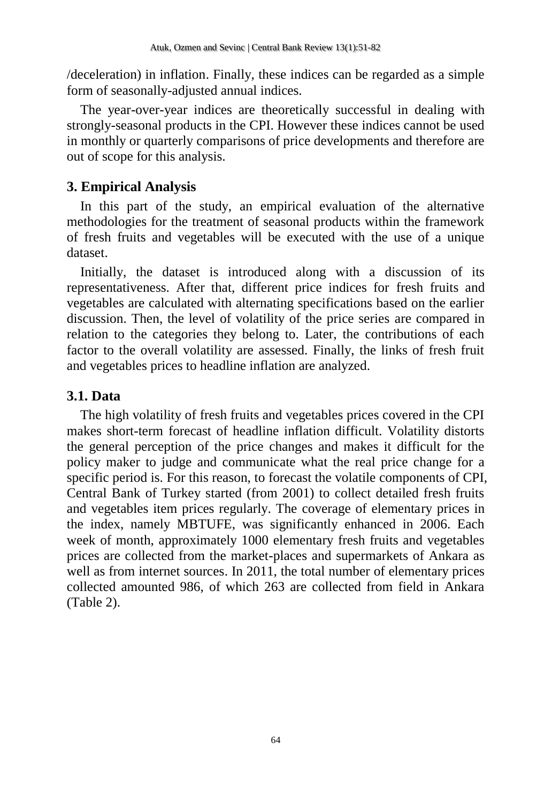/deceleration) in inflation. Finally, these indices can be regarded as a simple form of seasonally-adjusted annual indices.

The year-over-year indices are theoretically successful in dealing with strongly-seasonal products in the CPI. However these indices cannot be used in monthly or quarterly comparisons of price developments and therefore are out of scope for this analysis.

# **3. Empirical Analysis**

In this part of the study, an empirical evaluation of the alternative methodologies for the treatment of seasonal products within the framework of fresh fruits and vegetables will be executed with the use of a unique dataset.

Initially, the dataset is introduced along with a discussion of its representativeness. After that, different price indices for fresh fruits and vegetables are calculated with alternating specifications based on the earlier discussion. Then, the level of volatility of the price series are compared in relation to the categories they belong to. Later, the contributions of each factor to the overall volatility are assessed. Finally, the links of fresh fruit and vegetables prices to headline inflation are analyzed.

# **3.1. Data**

The high volatility of fresh fruits and vegetables prices covered in the CPI makes short-term forecast of headline inflation difficult. Volatility distorts the general perception of the price changes and makes it difficult for the policy maker to judge and communicate what the real price change for a specific period is. For this reason, to forecast the volatile components of CPI, Central Bank of Turkey started (from 2001) to collect detailed fresh fruits and vegetables item prices regularly. The coverage of elementary prices in the index, namely MBTUFE, was significantly enhanced in 2006. Each week of month, approximately 1000 elementary fresh fruits and vegetables prices are collected from the market-places and supermarkets of Ankara as well as from internet sources. In 2011, the total number of elementary prices collected amounted 986, of which 263 are collected from field in Ankara [\(Table 2\)](#page-14-0).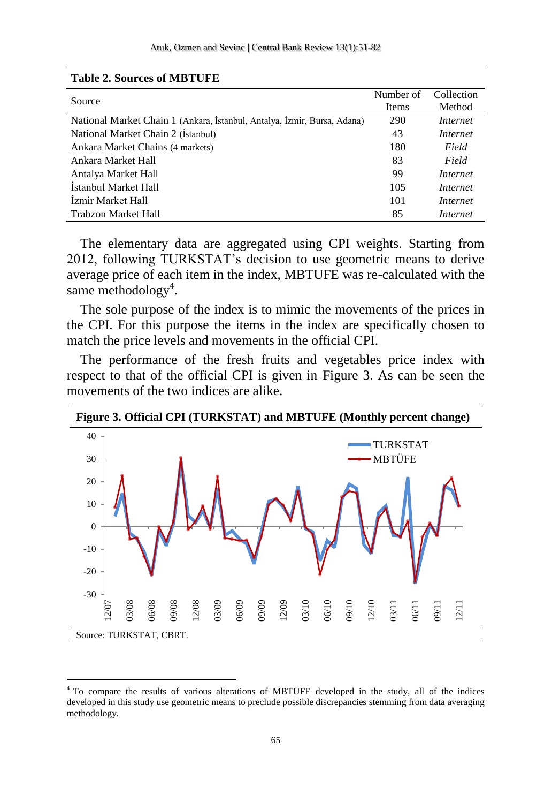| Source                                                                   | Number of<br>Items | Collection<br>Method |
|--------------------------------------------------------------------------|--------------------|----------------------|
| National Market Chain 1 (Ankara, İstanbul, Antalya, İzmir, Bursa, Adana) | 290                | Internet             |
| National Market Chain 2 (Istanbul)                                       | 43                 | Internet             |
| Ankara Market Chains (4 markets)                                         | 180                | Field                |
| Ankara Market Hall                                                       | 83                 | Field                |
| Antalya Market Hall                                                      | 99                 | Internet             |
| İstanbul Market Hall                                                     | 105                | Internet             |
| İzmir Market Hall                                                        | 101                | Internet             |
| Trabzon Market Hall                                                      | 85                 | Internet             |

#### <span id="page-14-0"></span>**Table 2. Sources of MBTUFE**

 $\overline{a}$ 

The elementary data are aggregated using CPI weights. Starting from 2012, following TURKSTAT's decision to use geometric means to derive average price of each item in the index, MBTUFE was re-calculated with the same methodology<sup>4</sup>.

The sole purpose of the index is to mimic the movements of the prices in the CPI. For this purpose the items in the index are specifically chosen to match the price levels and movements in the official CPI.

The performance of the fresh fruits and vegetables price index with respect to that of the official CPI is given in Figure 3. As can be seen the movements of the two indices are alike.



<sup>4</sup> To compare the results of various alterations of MBTUFE developed in the study, all of the indices developed in this study use geometric means to preclude possible discrepancies stemming from data averaging methodology.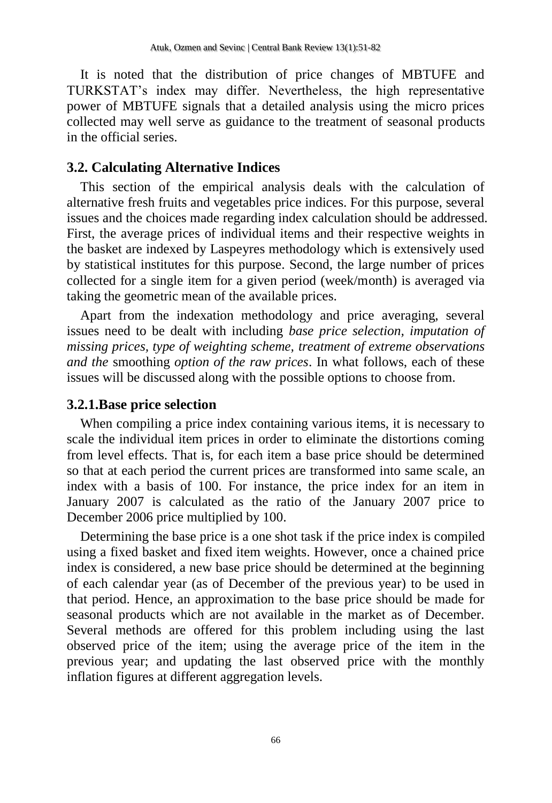It is noted that the distribution of price changes of MBTUFE and TURKSTAT's index may differ. Nevertheless, the high representative power of MBTUFE signals that a detailed analysis using the micro prices collected may well serve as guidance to the treatment of seasonal products in the official series.

### **3.2. Calculating Alternative Indices**

This section of the empirical analysis deals with the calculation of alternative fresh fruits and vegetables price indices. For this purpose, several issues and the choices made regarding index calculation should be addressed. First, the average prices of individual items and their respective weights in the basket are indexed by Laspeyres methodology which is extensively used by statistical institutes for this purpose. Second, the large number of prices collected for a single item for a given period (week/month) is averaged via taking the geometric mean of the available prices.

Apart from the indexation methodology and price averaging, several issues need to be dealt with including *base price selection, imputation of missing prices, type of weighting scheme, treatment of extreme observations and the* smoothing *option of the raw prices*. In what follows, each of these issues will be discussed along with the possible options to choose from.

### **3.2.1.Base price selection**

When compiling a price index containing various items, it is necessary to scale the individual item prices in order to eliminate the distortions coming from level effects. That is, for each item a base price should be determined so that at each period the current prices are transformed into same scale, an index with a basis of 100. For instance, the price index for an item in January 2007 is calculated as the ratio of the January 2007 price to December 2006 price multiplied by 100.

Determining the base price is a one shot task if the price index is compiled using a fixed basket and fixed item weights. However, once a chained price index is considered, a new base price should be determined at the beginning of each calendar year (as of December of the previous year) to be used in that period. Hence, an approximation to the base price should be made for seasonal products which are not available in the market as of December. Several methods are offered for this problem including using the last observed price of the item; using the average price of the item in the previous year; and updating the last observed price with the monthly inflation figures at different aggregation levels.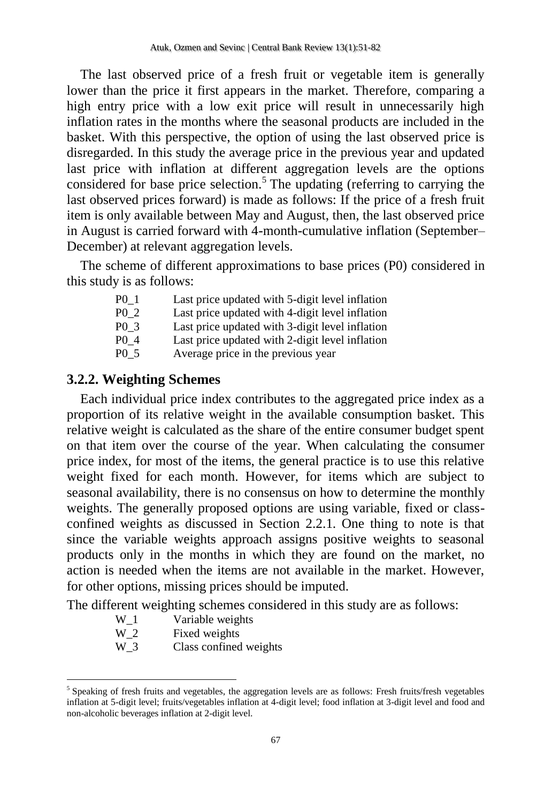The last observed price of a fresh fruit or vegetable item is generally lower than the price it first appears in the market. Therefore, comparing a high entry price with a low exit price will result in unnecessarily high inflation rates in the months where the seasonal products are included in the basket. With this perspective, the option of using the last observed price is disregarded. In this study the average price in the previous year and updated last price with inflation at different aggregation levels are the options considered for base price selection.<sup>5</sup> The updating (referring to carrying the last observed prices forward) is made as follows: If the price of a fresh fruit item is only available between May and August, then, the last observed price in August is carried forward with 4-month-cumulative inflation (September– December) at relevant aggregation levels.

The scheme of different approximations to base prices (P0) considered in this study is as follows:

| P <sub>0</sub> 1 | Last price updated with 5-digit level inflation |
|------------------|-------------------------------------------------|
| P <sub>0</sub> 2 | Last price updated with 4-digit level inflation |
| P <sub>0</sub> 3 | Last price updated with 3-digit level inflation |
| P <sub>0</sub> 4 | Last price updated with 2-digit level inflation |
| P <sub>0</sub> 5 | Average price in the previous year              |

# **3.2.2. Weighting Schemes**

Each individual price index contributes to the aggregated price index as a proportion of its relative weight in the available consumption basket. This relative weight is calculated as the share of the entire consumer budget spent on that item over the course of the year. When calculating the consumer price index, for most of the items, the general practice is to use this relative weight fixed for each month. However, for items which are subject to seasonal availability, there is no consensus on how to determine the monthly weights. The generally proposed options are using variable, fixed or classconfined weights as discussed in Section 2.2.1. One thing to note is that since the variable weights approach assigns positive weights to seasonal products only in the months in which they are found on the market, no action is needed when the items are not available in the market. However, for other options, missing prices should be imputed.

The different weighting schemes considered in this study are as follows:

- W<sub>1</sub> Variable weights
- W 2 Fixed weights

 $\overline{a}$ 

W 3 Class confined weights

<sup>&</sup>lt;sup>5</sup> Speaking of fresh fruits and vegetables, the aggregation levels are as follows: Fresh fruits/fresh vegetables inflation at 5-digit level; fruits/vegetables inflation at 4-digit level; food inflation at 3-digit level and food and non-alcoholic beverages inflation at 2-digit level.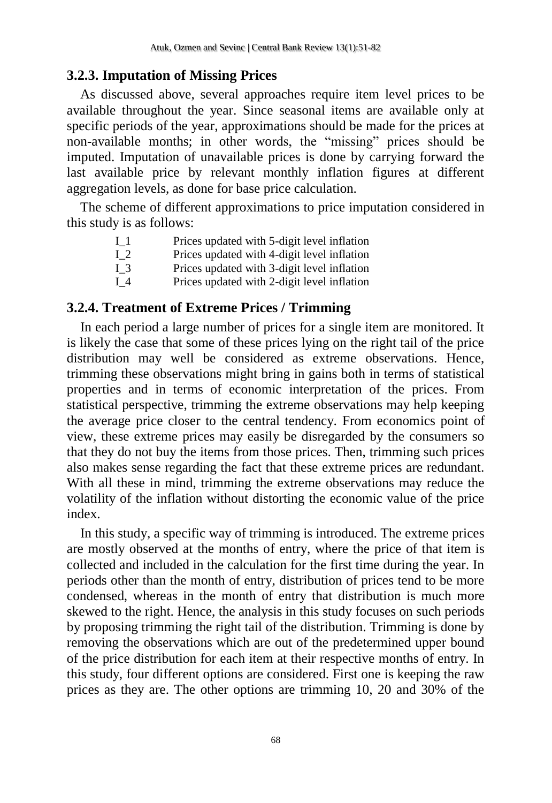# **3.2.3. Imputation of Missing Prices**

As discussed above, several approaches require item level prices to be available throughout the year. Since seasonal items are available only at specific periods of the year, approximations should be made for the prices at non-available months; in other words, the "missing" prices should be imputed. Imputation of unavailable prices is done by carrying forward the last available price by relevant monthly inflation figures at different aggregation levels, as done for base price calculation.

The scheme of different approximations to price imputation considered in this study is as follows:

| 11  | Prices updated with 5-digit level inflation |
|-----|---------------------------------------------|
| 12  | Prices updated with 4-digit level inflation |
| 13  | Prices updated with 3-digit level inflation |
| I 4 | Prices updated with 2-digit level inflation |

# **3.2.4. Treatment of Extreme Prices / Trimming**

In each period a large number of prices for a single item are monitored. It is likely the case that some of these prices lying on the right tail of the price distribution may well be considered as extreme observations. Hence, trimming these observations might bring in gains both in terms of statistical properties and in terms of economic interpretation of the prices. From statistical perspective, trimming the extreme observations may help keeping the average price closer to the central tendency. From economics point of view, these extreme prices may easily be disregarded by the consumers so that they do not buy the items from those prices. Then, trimming such prices also makes sense regarding the fact that these extreme prices are redundant. With all these in mind, trimming the extreme observations may reduce the volatility of the inflation without distorting the economic value of the price index.

In this study, a specific way of trimming is introduced. The extreme prices are mostly observed at the months of entry, where the price of that item is collected and included in the calculation for the first time during the year. In periods other than the month of entry, distribution of prices tend to be more condensed, whereas in the month of entry that distribution is much more skewed to the right. Hence, the analysis in this study focuses on such periods by proposing trimming the right tail of the distribution. Trimming is done by removing the observations which are out of the predetermined upper bound of the price distribution for each item at their respective months of entry. In this study, four different options are considered. First one is keeping the raw prices as they are. The other options are trimming 10, 20 and 30% of the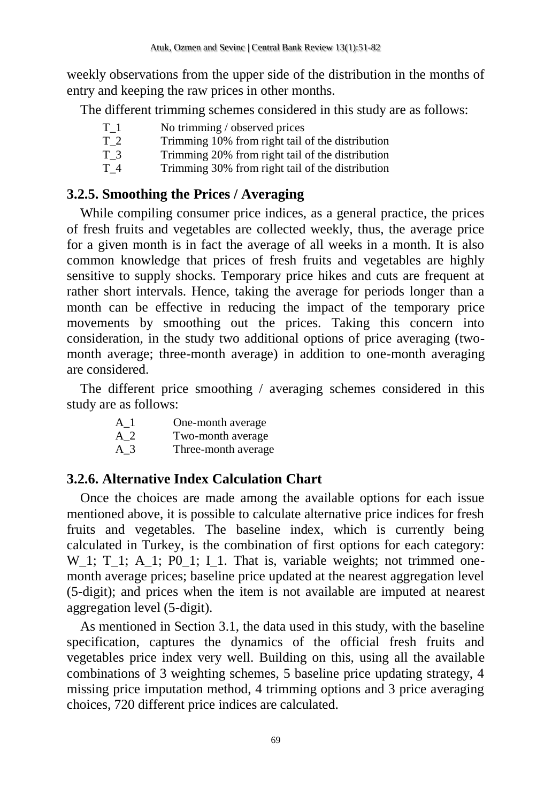weekly observations from the upper side of the distribution in the months of entry and keeping the raw prices in other months.

The different trimming schemes considered in this study are as follows:

| T 1 | No trimming / observed prices                    |
|-----|--------------------------------------------------|
| T 2 | Trimming 10% from right tail of the distribution |
| T 3 | Trimming 20% from right tail of the distribution |
| T 4 | Trimming 30% from right tail of the distribution |

# **3.2.5. Smoothing the Prices / Averaging**

While compiling consumer price indices, as a general practice, the prices of fresh fruits and vegetables are collected weekly, thus, the average price for a given month is in fact the average of all weeks in a month. It is also common knowledge that prices of fresh fruits and vegetables are highly sensitive to supply shocks. Temporary price hikes and cuts are frequent at rather short intervals. Hence, taking the average for periods longer than a month can be effective in reducing the impact of the temporary price movements by smoothing out the prices. Taking this concern into consideration, in the study two additional options of price averaging (twomonth average; three-month average) in addition to one-month averaging are considered.

The different price smoothing / averaging schemes considered in this study are as follows:

- A\_1 One-month average A\_2 Two-month average
- A\_3 Three-month average

# **3.2.6. Alternative Index Calculation Chart**

Once the choices are made among the available options for each issue mentioned above, it is possible to calculate alternative price indices for fresh fruits and vegetables. The baseline index, which is currently being calculated in Turkey, is the combination of first options for each category: W 1; T 1; A 1; P0\_1; I\_1. That is, variable weights; not trimmed onemonth average prices; baseline price updated at the nearest aggregation level (5-digit); and prices when the item is not available are imputed at nearest aggregation level (5-digit).

As mentioned in Section 3.1, the data used in this study, with the baseline specification, captures the dynamics of the official fresh fruits and vegetables price index very well. Building on this, using all the available combinations of 3 weighting schemes, 5 baseline price updating strategy, 4 missing price imputation method, 4 trimming options and 3 price averaging choices, 720 different price indices are calculated.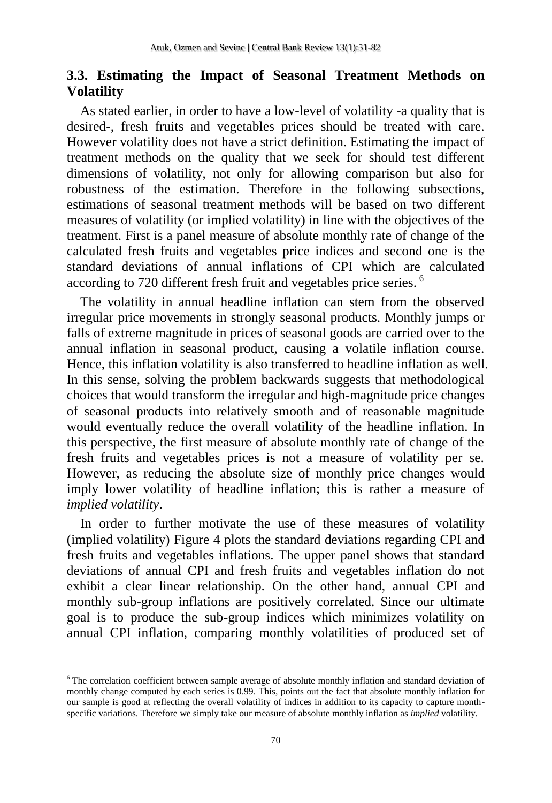# **3.3. Estimating the Impact of Seasonal Treatment Methods on Volatility**

As stated earlier, in order to have a low-level of volatility -a quality that is desired-, fresh fruits and vegetables prices should be treated with care. However volatility does not have a strict definition. Estimating the impact of treatment methods on the quality that we seek for should test different dimensions of volatility, not only for allowing comparison but also for robustness of the estimation. Therefore in the following subsections, estimations of seasonal treatment methods will be based on two different measures of volatility (or implied volatility) in line with the objectives of the treatment. First is a panel measure of absolute monthly rate of change of the calculated fresh fruits and vegetables price indices and second one is the standard deviations of annual inflations of CPI which are calculated according to 720 different fresh fruit and vegetables price series. <sup>6</sup>

The volatility in annual headline inflation can stem from the observed irregular price movements in strongly seasonal products. Monthly jumps or falls of extreme magnitude in prices of seasonal goods are carried over to the annual inflation in seasonal product, causing a volatile inflation course. Hence, this inflation volatility is also transferred to headline inflation as well. In this sense, solving the problem backwards suggests that methodological choices that would transform the irregular and high-magnitude price changes of seasonal products into relatively smooth and of reasonable magnitude would eventually reduce the overall volatility of the headline inflation. In this perspective, the first measure of absolute monthly rate of change of the fresh fruits and vegetables prices is not a measure of volatility per se. However, as reducing the absolute size of monthly price changes would imply lower volatility of headline inflation; this is rather a measure of *implied volatility*.

In order to further motivate the use of these measures of volatility (implied volatility) Figure 4 plots the standard deviations regarding CPI and fresh fruits and vegetables inflations. The upper panel shows that standard deviations of annual CPI and fresh fruits and vegetables inflation do not exhibit a clear linear relationship. On the other hand, annual CPI and monthly sub-group inflations are positively correlated. Since our ultimate goal is to produce the sub-group indices which minimizes volatility on annual CPI inflation, comparing monthly volatilities of produced set of

 $\overline{\phantom{a}}$ 

<sup>&</sup>lt;sup>6</sup> The correlation coefficient between sample average of absolute monthly inflation and standard deviation of monthly change computed by each series is 0.99. This, points out the fact that absolute monthly inflation for our sample is good at reflecting the overall volatility of indices in addition to its capacity to capture monthspecific variations. Therefore we simply take our measure of absolute monthly inflation as *implied* volatility.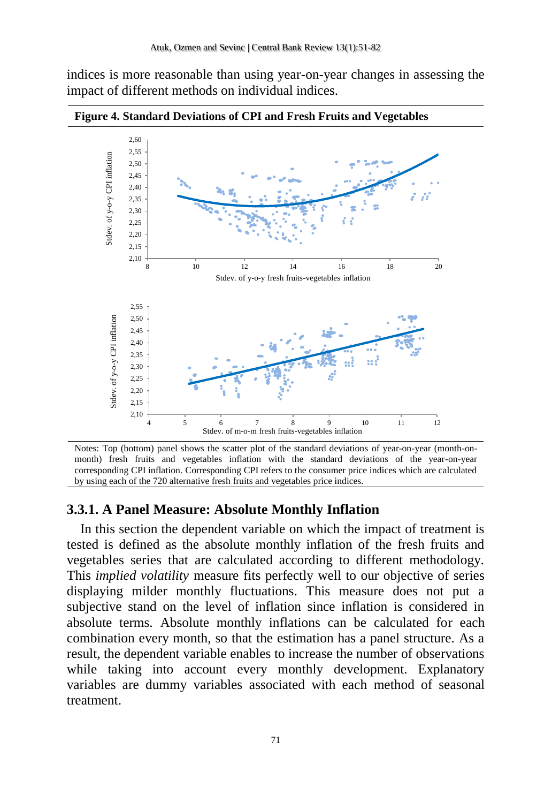indices is more reasonable than using year-on-year changes in assessing the impact of different methods on individual indices.



**Figure 4. Standard Deviations of CPI and Fresh Fruits and Vegetables**

Notes: Top (bottom) panel shows the scatter plot of the standard deviations of year-on-year (month-onmonth) fresh fruits and vegetables inflation with the standard deviations of the year-on-year corresponding CPI inflation. Corresponding CPI refers to the consumer price indices which are calculated by using each of the 720 alternative fresh fruits and vegetables price indices.

#### **3.3.1. A Panel Measure: Absolute Monthly Inflation**

In this section the dependent variable on which the impact of treatment is tested is defined as the absolute monthly inflation of the fresh fruits and vegetables series that are calculated according to different methodology. This *implied volatility* measure fits perfectly well to our objective of series displaying milder monthly fluctuations. This measure does not put a subjective stand on the level of inflation since inflation is considered in absolute terms. Absolute monthly inflations can be calculated for each combination every month, so that the estimation has a panel structure. As a result, the dependent variable enables to increase the number of observations while taking into account every monthly development. Explanatory variables are dummy variables associated with each method of seasonal treatment.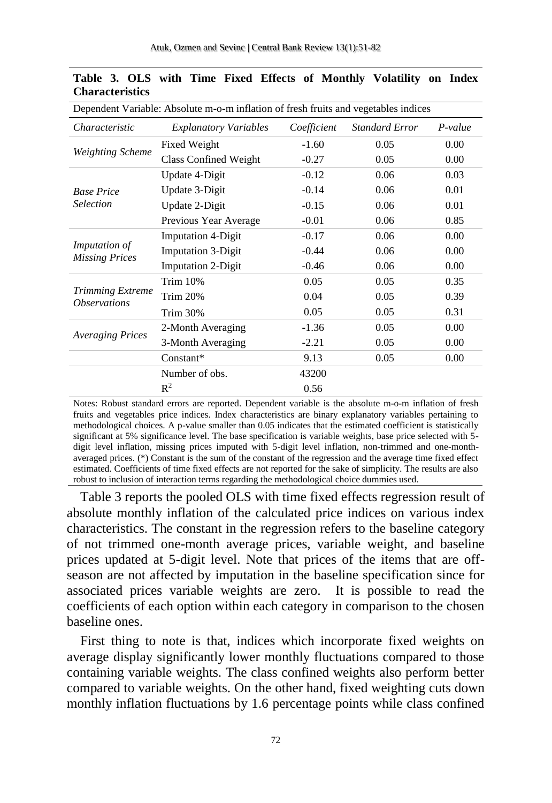| Dependent Variable: Absolute m-o-m inflation of fresh fruits and vegetables indices |                                                    |             |                       |                                                                                                                                                      |  |  |  |
|-------------------------------------------------------------------------------------|----------------------------------------------------|-------------|-----------------------|------------------------------------------------------------------------------------------------------------------------------------------------------|--|--|--|
| Characteristic                                                                      | <b>Explanatory Variables</b>                       | Coefficient | <b>Standard Error</b> | $P-value$                                                                                                                                            |  |  |  |
|                                                                                     | Fixed Weight                                       | $-1.60$     | 0.05                  | 0.00                                                                                                                                                 |  |  |  |
| <b>Weighting Scheme</b>                                                             | Class Confined Weight                              | $-0.27$     | 0.05                  | 0.00                                                                                                                                                 |  |  |  |
|                                                                                     | Update 4-Digit                                     | $-0.12$     | 0.06                  | 0.03                                                                                                                                                 |  |  |  |
| <b>Base Price</b>                                                                   | Update 3-Digit                                     | $-0.14$     | 0.06                  | 0.01                                                                                                                                                 |  |  |  |
| <b>Selection</b>                                                                    | Update 2-Digit                                     | $-0.15$     | 0.06                  | 0.01                                                                                                                                                 |  |  |  |
|                                                                                     | Previous Year Average                              | $-0.01$     | 0.06                  | 0.85<br>0.06<br>0.00<br>0.06<br>0.00<br>0.06<br>0.00<br>0.05<br>0.35<br>0.39<br>0.05<br>0.05<br>0.31<br>0.05<br>0.00<br>0.05<br>0.00<br>0.05<br>0.00 |  |  |  |
|                                                                                     | <b>Imputation 4-Digit</b>                          | $-0.17$     |                       |                                                                                                                                                      |  |  |  |
| <i>Imputation of</i>                                                                | <b>Imputation 3-Digit</b><br><b>Missing Prices</b> | $-0.44$     |                       |                                                                                                                                                      |  |  |  |
|                                                                                     | <b>Imputation 2-Digit</b>                          | $-0.46$     |                       |                                                                                                                                                      |  |  |  |
|                                                                                     | <b>Trim 10%</b>                                    | 0.05        |                       |                                                                                                                                                      |  |  |  |
| <b>Trimming Extreme</b><br><i><b>Observations</b></i>                               | <b>Trim 20%</b>                                    | 0.04        |                       |                                                                                                                                                      |  |  |  |
|                                                                                     | <b>Trim 30%</b>                                    | 0.05        |                       |                                                                                                                                                      |  |  |  |
|                                                                                     | 2-Month Averaging                                  | $-1.36$     |                       |                                                                                                                                                      |  |  |  |
| <b>Averaging Prices</b>                                                             | 3-Month Averaging                                  | $-2.21$     |                       |                                                                                                                                                      |  |  |  |
|                                                                                     | Constant*                                          | 9.13        |                       |                                                                                                                                                      |  |  |  |
|                                                                                     | Number of obs.                                     | 43200       |                       |                                                                                                                                                      |  |  |  |
|                                                                                     | $R^2$                                              | 0.56        |                       |                                                                                                                                                      |  |  |  |

|                        |  |  |  |  | Table 3. OLS with Time Fixed Effects of Monthly Volatility on Index |  |
|------------------------|--|--|--|--|---------------------------------------------------------------------|--|
| <b>Characteristics</b> |  |  |  |  |                                                                     |  |

Notes: Robust standard errors are reported. Dependent variable is the absolute m-o-m inflation of fresh fruits and vegetables price indices. Index characteristics are binary explanatory variables pertaining to methodological choices. A p-value smaller than 0.05 indicates that the estimated coefficient is statistically significant at 5% significance level. The base specification is variable weights, base price selected with 5 digit level inflation, missing prices imputed with 5-digit level inflation, non-trimmed and one-monthaveraged prices. (\*) Constant is the sum of the constant of the regression and the average time fixed effect estimated. Coefficients of time fixed effects are not reported for the sake of simplicity. The results are also robust to inclusion of interaction terms regarding the methodological choice dummies used.

Table 3 reports the pooled OLS with time fixed effects regression result of absolute monthly inflation of the calculated price indices on various index characteristics. The constant in the regression refers to the baseline category of not trimmed one-month average prices, variable weight, and baseline prices updated at 5-digit level. Note that prices of the items that are offseason are not affected by imputation in the baseline specification since for associated prices variable weights are zero. It is possible to read the coefficients of each option within each category in comparison to the chosen baseline ones.

First thing to note is that, indices which incorporate fixed weights on average display significantly lower monthly fluctuations compared to those containing variable weights. The class confined weights also perform better compared to variable weights. On the other hand, fixed weighting cuts down monthly inflation fluctuations by 1.6 percentage points while class confined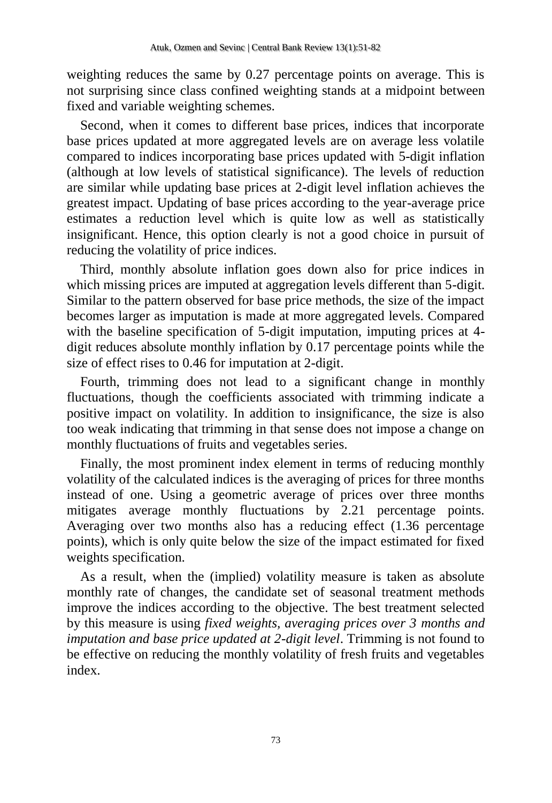weighting reduces the same by 0.27 percentage points on average. This is not surprising since class confined weighting stands at a midpoint between fixed and variable weighting schemes.

Second, when it comes to different base prices, indices that incorporate base prices updated at more aggregated levels are on average less volatile compared to indices incorporating base prices updated with 5-digit inflation (although at low levels of statistical significance). The levels of reduction are similar while updating base prices at 2-digit level inflation achieves the greatest impact. Updating of base prices according to the year-average price estimates a reduction level which is quite low as well as statistically insignificant. Hence, this option clearly is not a good choice in pursuit of reducing the volatility of price indices.

Third, monthly absolute inflation goes down also for price indices in which missing prices are imputed at aggregation levels different than 5-digit. Similar to the pattern observed for base price methods, the size of the impact becomes larger as imputation is made at more aggregated levels. Compared with the baseline specification of 5-digit imputation, imputing prices at 4 digit reduces absolute monthly inflation by 0.17 percentage points while the size of effect rises to 0.46 for imputation at 2-digit.

Fourth, trimming does not lead to a significant change in monthly fluctuations, though the coefficients associated with trimming indicate a positive impact on volatility. In addition to insignificance, the size is also too weak indicating that trimming in that sense does not impose a change on monthly fluctuations of fruits and vegetables series.

Finally, the most prominent index element in terms of reducing monthly volatility of the calculated indices is the averaging of prices for three months instead of one. Using a geometric average of prices over three months mitigates average monthly fluctuations by 2.21 percentage points. Averaging over two months also has a reducing effect (1.36 percentage points), which is only quite below the size of the impact estimated for fixed weights specification.

As a result, when the (implied) volatility measure is taken as absolute monthly rate of changes, the candidate set of seasonal treatment methods improve the indices according to the objective. The best treatment selected by this measure is using *fixed weights, averaging prices over 3 months and imputation and base price updated at 2-digit level*. Trimming is not found to be effective on reducing the monthly volatility of fresh fruits and vegetables index.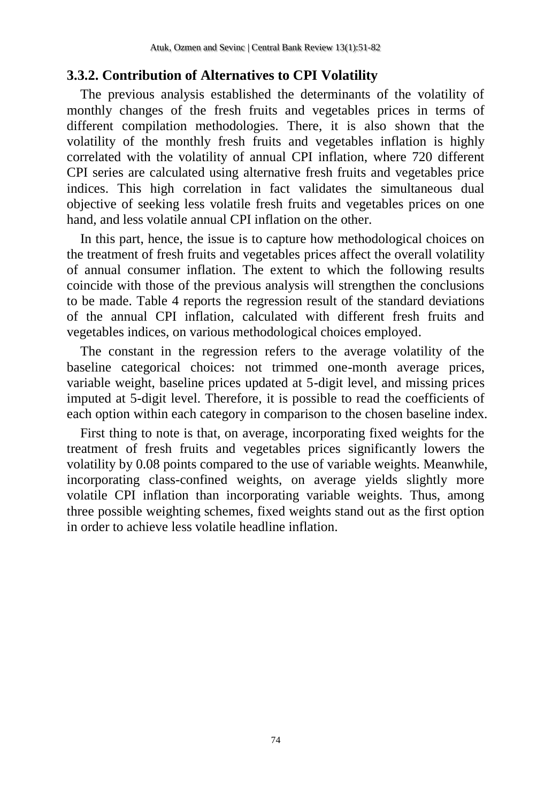# **3.3.2. Contribution of Alternatives to CPI Volatility**

The previous analysis established the determinants of the volatility of monthly changes of the fresh fruits and vegetables prices in terms of different compilation methodologies. There, it is also shown that the volatility of the monthly fresh fruits and vegetables inflation is highly correlated with the volatility of annual CPI inflation, where 720 different CPI series are calculated using alternative fresh fruits and vegetables price indices. This high correlation in fact validates the simultaneous dual objective of seeking less volatile fresh fruits and vegetables prices on one hand, and less volatile annual CPI inflation on the other.

In this part, hence, the issue is to capture how methodological choices on the treatment of fresh fruits and vegetables prices affect the overall volatility of annual consumer inflation. The extent to which the following results coincide with those of the previous analysis will strengthen the conclusions to be made. [Table 4](#page-24-0) reports the regression result of the standard deviations of the annual CPI inflation, calculated with different fresh fruits and vegetables indices, on various methodological choices employed.

The constant in the regression refers to the average volatility of the baseline categorical choices: not trimmed one-month average prices, variable weight, baseline prices updated at 5-digit level, and missing prices imputed at 5-digit level. Therefore, it is possible to read the coefficients of each option within each category in comparison to the chosen baseline index.

First thing to note is that, on average, incorporating fixed weights for the treatment of fresh fruits and vegetables prices significantly lowers the volatility by 0.08 points compared to the use of variable weights. Meanwhile, incorporating class-confined weights, on average yields slightly more volatile CPI inflation than incorporating variable weights. Thus, among three possible weighting schemes, fixed weights stand out as the first option in order to achieve less volatile headline inflation.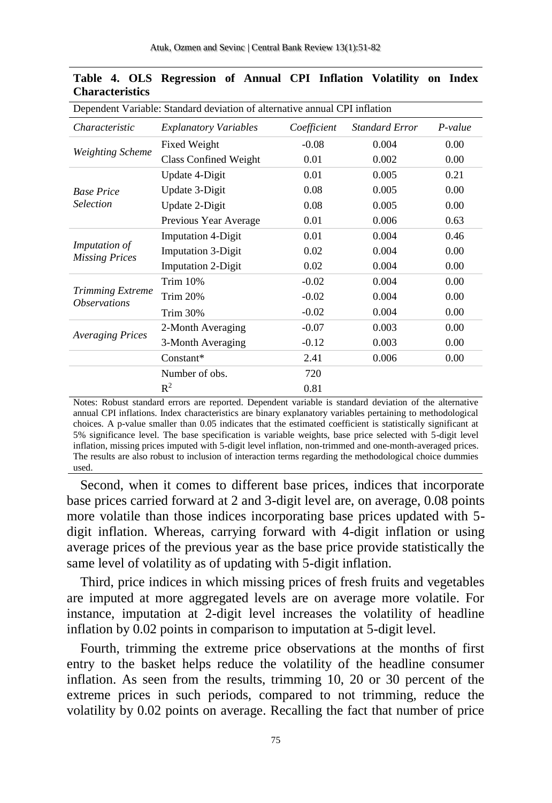| Dependent Variable: Standard deviation of alternative annual CPI inflation |                              |             |                       |           |  |  |  |
|----------------------------------------------------------------------------|------------------------------|-------------|-----------------------|-----------|--|--|--|
| Characteristic                                                             | <b>Explanatory Variables</b> | Coefficient | <b>Standard Error</b> | $P-value$ |  |  |  |
|                                                                            | Fixed Weight                 | $-0.08$     | 0.004                 | 0.00      |  |  |  |
| <b>Weighting Scheme</b>                                                    | Class Confined Weight        | 0.01        | 0.002                 | 0.00      |  |  |  |
|                                                                            | Update 4-Digit               | 0.01        | 0.005                 | 0.21      |  |  |  |
| <b>Base Price</b>                                                          | Update 3-Digit               | 0.08        | 0.005                 | 0.00      |  |  |  |
| Selection                                                                  | Update 2-Digit               | 0.08        | 0.005                 | 0.00      |  |  |  |
|                                                                            | Previous Year Average        | 0.01        | 0.006                 | 0.63      |  |  |  |
| Imputation of<br><b>Missing Prices</b>                                     | <b>Imputation 4-Digit</b>    | 0.01        | 0.004                 | 0.46      |  |  |  |
|                                                                            | <b>Imputation 3-Digit</b>    | 0.02        | 0.004                 | 0.00      |  |  |  |
|                                                                            | <b>Imputation 2-Digit</b>    | 0.02        | 0.004                 | 0.00      |  |  |  |
|                                                                            | <b>Trim 10%</b>              | $-0.02$     | 0.004                 | 0.00      |  |  |  |
| <b>Trimming Extreme</b><br><i><b>Observations</b></i>                      | <b>Trim 20%</b>              | $-0.02$     | 0.004                 | 0.00      |  |  |  |
|                                                                            | Trim 30%                     | $-0.02$     | 0.004                 | 0.00      |  |  |  |
|                                                                            | 2-Month Averaging            | $-0.07$     | 0.003                 | 0.00      |  |  |  |
| <b>Averaging Prices</b>                                                    | 3-Month Averaging            | $-0.12$     | 0.003                 | 0.00      |  |  |  |
|                                                                            | Constant*                    | 2.41        | 0.006                 | 0.00      |  |  |  |
|                                                                            | Number of obs.               | 720         |                       |           |  |  |  |
|                                                                            | $R^2$                        | 0.81        |                       |           |  |  |  |

<span id="page-24-0"></span>

|                        |  | Table 4. OLS Regression of Annual CPI Inflation Volatility on Index |  |  |  |  |
|------------------------|--|---------------------------------------------------------------------|--|--|--|--|
| <b>Characteristics</b> |  |                                                                     |  |  |  |  |

Notes: Robust standard errors are reported. Dependent variable is standard deviation of the alternative annual CPI inflations. Index characteristics are binary explanatory variables pertaining to methodological choices. A p-value smaller than 0.05 indicates that the estimated coefficient is statistically significant at 5% significance level. The base specification is variable weights, base price selected with 5-digit level inflation, missing prices imputed with 5-digit level inflation, non-trimmed and one-month-averaged prices. The results are also robust to inclusion of interaction terms regarding the methodological choice dummies used.

Second, when it comes to different base prices, indices that incorporate base prices carried forward at 2 and 3-digit level are, on average, 0.08 points more volatile than those indices incorporating base prices updated with 5 digit inflation. Whereas, carrying forward with 4-digit inflation or using average prices of the previous year as the base price provide statistically the same level of volatility as of updating with 5-digit inflation.

Third, price indices in which missing prices of fresh fruits and vegetables are imputed at more aggregated levels are on average more volatile. For instance, imputation at 2-digit level increases the volatility of headline inflation by 0.02 points in comparison to imputation at 5-digit level.

Fourth, trimming the extreme price observations at the months of first entry to the basket helps reduce the volatility of the headline consumer inflation. As seen from the results, trimming 10, 20 or 30 percent of the extreme prices in such periods, compared to not trimming, reduce the volatility by 0.02 points on average. Recalling the fact that number of price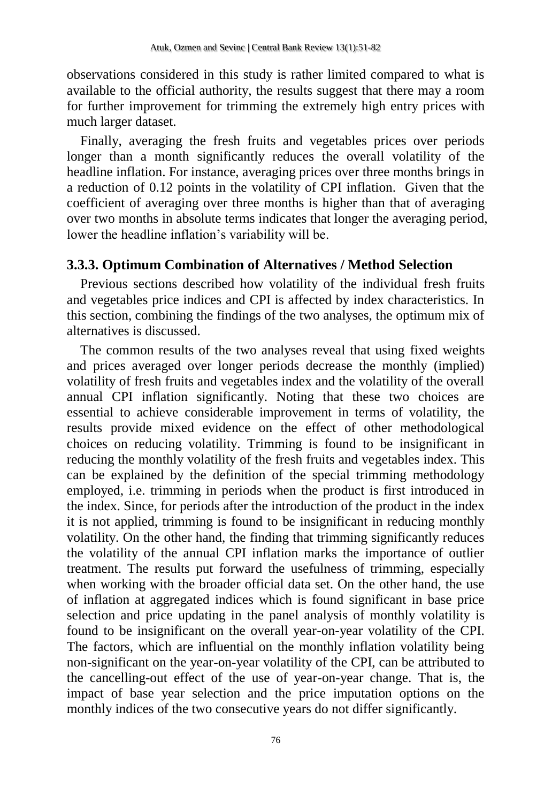observations considered in this study is rather limited compared to what is available to the official authority, the results suggest that there may a room for further improvement for trimming the extremely high entry prices with much larger dataset.

Finally, averaging the fresh fruits and vegetables prices over periods longer than a month significantly reduces the overall volatility of the headline inflation. For instance, averaging prices over three months brings in a reduction of 0.12 points in the volatility of CPI inflation. Given that the coefficient of averaging over three months is higher than that of averaging over two months in absolute terms indicates that longer the averaging period, lower the headline inflation's variability will be.

### **3.3.3. Optimum Combination of Alternatives / Method Selection**

Previous sections described how volatility of the individual fresh fruits and vegetables price indices and CPI is affected by index characteristics. In this section, combining the findings of the two analyses, the optimum mix of alternatives is discussed.

The common results of the two analyses reveal that using fixed weights and prices averaged over longer periods decrease the monthly (implied) volatility of fresh fruits and vegetables index and the volatility of the overall annual CPI inflation significantly. Noting that these two choices are essential to achieve considerable improvement in terms of volatility, the results provide mixed evidence on the effect of other methodological choices on reducing volatility. Trimming is found to be insignificant in reducing the monthly volatility of the fresh fruits and vegetables index. This can be explained by the definition of the special trimming methodology employed, i.e. trimming in periods when the product is first introduced in the index. Since, for periods after the introduction of the product in the index it is not applied, trimming is found to be insignificant in reducing monthly volatility. On the other hand, the finding that trimming significantly reduces the volatility of the annual CPI inflation marks the importance of outlier treatment. The results put forward the usefulness of trimming, especially when working with the broader official data set. On the other hand, the use of inflation at aggregated indices which is found significant in base price selection and price updating in the panel analysis of monthly volatility is found to be insignificant on the overall year-on-year volatility of the CPI. The factors, which are influential on the monthly inflation volatility being non-significant on the year-on-year volatility of the CPI, can be attributed to the cancelling-out effect of the use of year-on-year change. That is, the impact of base year selection and the price imputation options on the monthly indices of the two consecutive years do not differ significantly.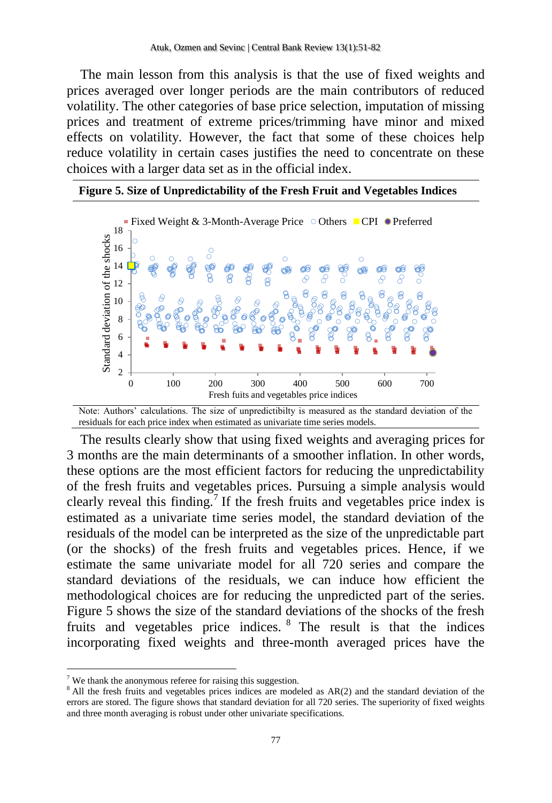The main lesson from this analysis is that the use of fixed weights and prices averaged over longer periods are the main contributors of reduced volatility. The other categories of base price selection, imputation of missing prices and treatment of extreme prices/trimming have minor and mixed effects on volatility. However, the fact that some of these choices help reduce volatility in certain cases justifies the need to concentrate on these choices with a larger data set as in the official index.

**Figure 5. Size of Unpredictability of the Fresh Fruit and Vegetables Indices**



Note: Authors' calculations. The size of unpredictibilty is measured as the standard deviation of the residuals for each price index when estimated as univariate time series models.

The results clearly show that using fixed weights and averaging prices for 3 months are the main determinants of a smoother inflation. In other words, these options are the most efficient factors for reducing the unpredictability of the fresh fruits and vegetables prices. Pursuing a simple analysis would clearly reveal this finding.<sup>7</sup> If the fresh fruits and vegetables price index is estimated as a univariate time series model, the standard deviation of the residuals of the model can be interpreted as the size of the unpredictable part (or the shocks) of the fresh fruits and vegetables prices. Hence, if we estimate the same univariate model for all 720 series and compare the standard deviations of the residuals, we can induce how efficient the methodological choices are for reducing the unpredicted part of the series. Figure 5 shows the size of the standard deviations of the shocks of the fresh fruits and vegetables price indices. <sup>8</sup> The result is that the indices incorporating fixed weights and three-month averaged prices have the

 $\overline{\phantom{a}}$ 

 $7$  We thank the anonymous referee for raising this suggestion.

 $8$  All the fresh fruits and vegetables prices indices are modeled as AR(2) and the standard deviation of the errors are stored. The figure shows that standard deviation for all 720 series. The superiority of fixed weights and three month averaging is robust under other univariate specifications.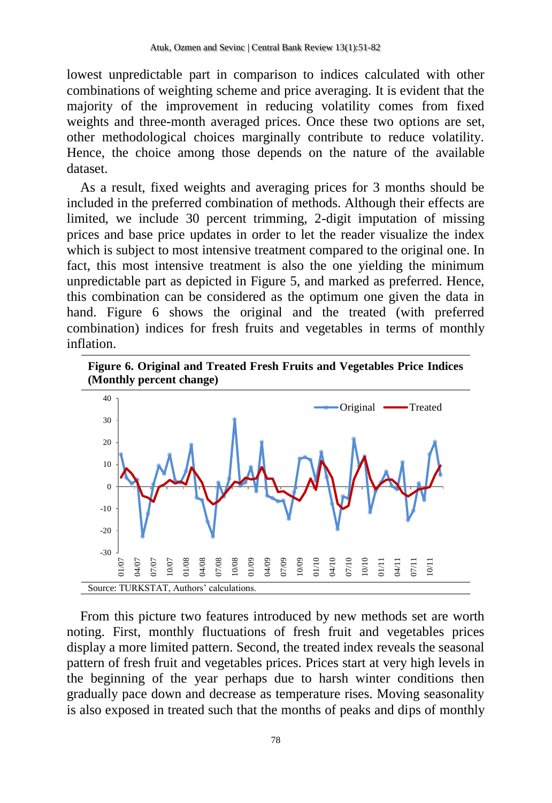lowest unpredictable part in comparison to indices calculated with other combinations of weighting scheme and price averaging. It is evident that the majority of the improvement in reducing volatility comes from fixed weights and three-month averaged prices. Once these two options are set, other methodological choices marginally contribute to reduce volatility. Hence, the choice among those depends on the nature of the available dataset.

As a result, fixed weights and averaging prices for 3 months should be included in the preferred combination of methods. Although their effects are limited, we include 30 percent trimming, 2-digit imputation of missing prices and base price updates in order to let the reader visualize the index which is subject to most intensive treatment compared to the original one. In fact, this most intensive treatment is also the one yielding the minimum unpredictable part as depicted in Figure 5, and marked as preferred. Hence, this combination can be considered as the optimum one given the data in hand. Figure 6 shows the original and the treated (with preferred combination) indices for fresh fruits and vegetables in terms of monthly inflation.





From this picture two features introduced by new methods set are worth noting. First, monthly fluctuations of fresh fruit and vegetables prices display a more limited pattern. Second, the treated index reveals the seasonal pattern of fresh fruit and vegetables prices. Prices start at very high levels in the beginning of the year perhaps due to harsh winter conditions then gradually pace down and decrease as temperature rises. Moving seasonality is also exposed in treated such that the months of peaks and dips of monthly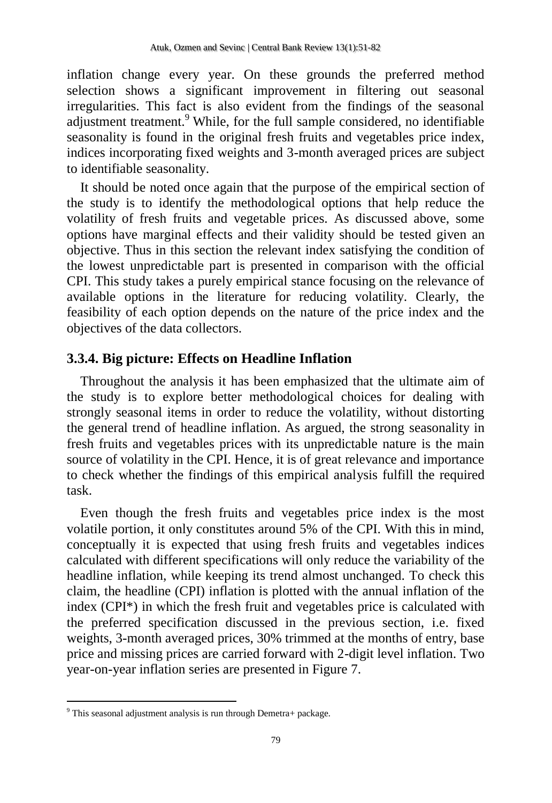inflation change every year. On these grounds the preferred method selection shows a significant improvement in filtering out seasonal irregularities. This fact is also evident from the findings of the seasonal adjustment treatment.<sup>9</sup> While, for the full sample considered, no identifiable seasonality is found in the original fresh fruits and vegetables price index, indices incorporating fixed weights and 3-month averaged prices are subject to identifiable seasonality.

It should be noted once again that the purpose of the empirical section of the study is to identify the methodological options that help reduce the volatility of fresh fruits and vegetable prices. As discussed above, some options have marginal effects and their validity should be tested given an objective. Thus in this section the relevant index satisfying the condition of the lowest unpredictable part is presented in comparison with the official CPI. This study takes a purely empirical stance focusing on the relevance of available options in the literature for reducing volatility. Clearly, the feasibility of each option depends on the nature of the price index and the objectives of the data collectors.

### **3.3.4. Big picture: Effects on Headline Inflation**

Throughout the analysis it has been emphasized that the ultimate aim of the study is to explore better methodological choices for dealing with strongly seasonal items in order to reduce the volatility, without distorting the general trend of headline inflation. As argued, the strong seasonality in fresh fruits and vegetables prices with its unpredictable nature is the main source of volatility in the CPI. Hence, it is of great relevance and importance to check whether the findings of this empirical analysis fulfill the required task.

Even though the fresh fruits and vegetables price index is the most volatile portion, it only constitutes around 5% of the CPI. With this in mind, conceptually it is expected that using fresh fruits and vegetables indices calculated with different specifications will only reduce the variability of the headline inflation, while keeping its trend almost unchanged. To check this claim, the headline (CPI) inflation is plotted with the annual inflation of the index (CPI\*) in which the fresh fruit and vegetables price is calculated with the preferred specification discussed in the previous section, i.e. fixed weights, 3-month averaged prices, 30% trimmed at the months of entry, base price and missing prices are carried forward with 2-digit level inflation. Two year-on-year inflation series are presented in Figure 7.

 $\overline{a}$ 

 $9$  This seasonal adjustment analysis is run through Demetra+ package.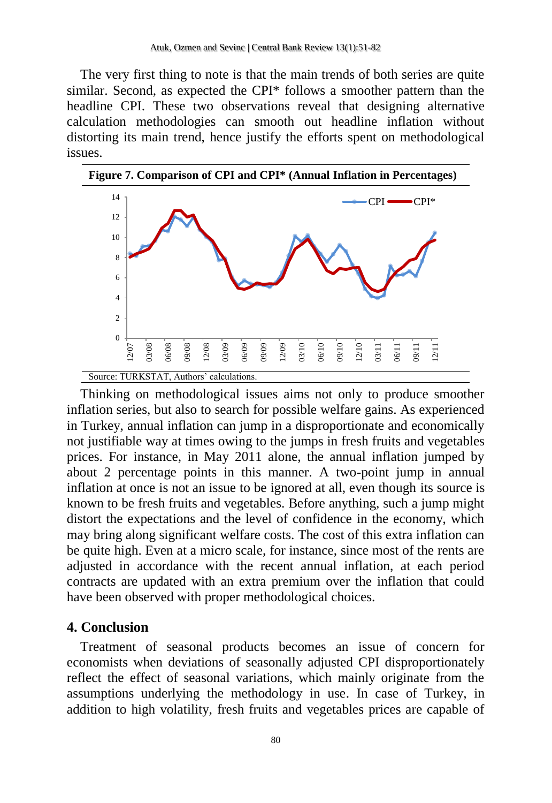The very first thing to note is that the main trends of both series are quite similar. Second, as expected the CPI\* follows a smoother pattern than the headline CPI. These two observations reveal that designing alternative calculation methodologies can smooth out headline inflation without distorting its main trend, hence justify the efforts spent on methodological issues.



Thinking on methodological issues aims not only to produce smoother inflation series, but also to search for possible welfare gains. As experienced in Turkey, annual inflation can jump in a disproportionate and economically not justifiable way at times owing to the jumps in fresh fruits and vegetables prices. For instance, in May 2011 alone, the annual inflation jumped by about 2 percentage points in this manner. A two-point jump in annual inflation at once is not an issue to be ignored at all, even though its source is known to be fresh fruits and vegetables. Before anything, such a jump might distort the expectations and the level of confidence in the economy, which may bring along significant welfare costs. The cost of this extra inflation can be quite high. Even at a micro scale, for instance, since most of the rents are adjusted in accordance with the recent annual inflation, at each period contracts are updated with an extra premium over the inflation that could have been observed with proper methodological choices.

### **4. Conclusion**

Treatment of seasonal products becomes an issue of concern for economists when deviations of seasonally adjusted CPI disproportionately reflect the effect of seasonal variations, which mainly originate from the assumptions underlying the methodology in use. In case of Turkey, in addition to high volatility, fresh fruits and vegetables prices are capable of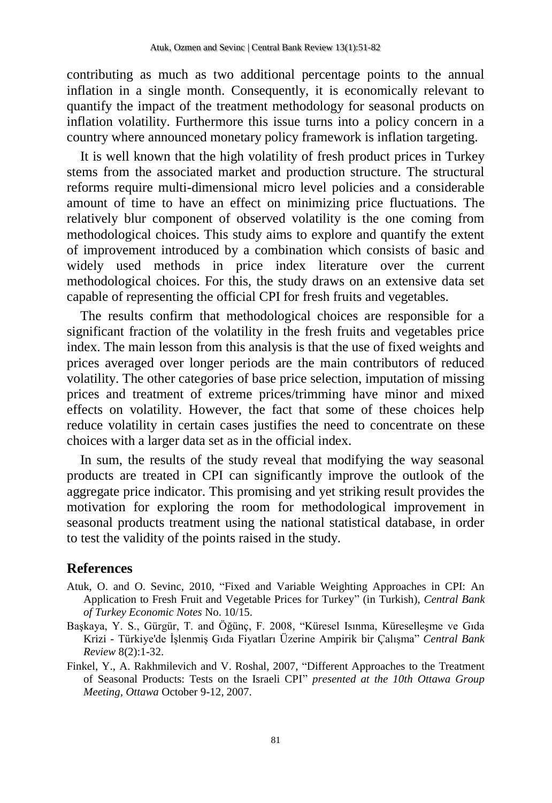contributing as much as two additional percentage points to the annual inflation in a single month. Consequently, it is economically relevant to quantify the impact of the treatment methodology for seasonal products on inflation volatility. Furthermore this issue turns into a policy concern in a country where announced monetary policy framework is inflation targeting.

It is well known that the high volatility of fresh product prices in Turkey stems from the associated market and production structure. The structural reforms require multi-dimensional micro level policies and a considerable amount of time to have an effect on minimizing price fluctuations. The relatively blur component of observed volatility is the one coming from methodological choices. This study aims to explore and quantify the extent of improvement introduced by a combination which consists of basic and widely used methods in price index literature over the current methodological choices. For this, the study draws on an extensive data set capable of representing the official CPI for fresh fruits and vegetables.

The results confirm that methodological choices are responsible for a significant fraction of the volatility in the fresh fruits and vegetables price index. The main lesson from this analysis is that the use of fixed weights and prices averaged over longer periods are the main contributors of reduced volatility. The other categories of base price selection, imputation of missing prices and treatment of extreme prices/trimming have minor and mixed effects on volatility. However, the fact that some of these choices help reduce volatility in certain cases justifies the need to concentrate on these choices with a larger data set as in the official index.

In sum, the results of the study reveal that modifying the way seasonal products are treated in CPI can significantly improve the outlook of the aggregate price indicator. This promising and yet striking result provides the motivation for exploring the room for methodological improvement in seasonal products treatment using the national statistical database, in order to test the validity of the points raised in the study.

### **References**

- Atuk, O. and O. Sevinc, 2010, ["Fixed and Variable Weighting Approaches in CPI: An](http://www.tcmb.gov.tr/research/ekonominotlari/2010/eng/EN1015eng.php)  [Application to Fresh Fruit and Vegetable Prices for Turkey"](http://www.tcmb.gov.tr/research/ekonominotlari/2010/eng/EN1015eng.php) (in Turkish), *Central Bank of Turkey Economic Notes* No. 10/15.
- Başkaya, Y. S., Gürgür, T. and Öğünç, F. 2008, "Küresel Isınma, Küreselleşme ve Gıda Krizi - Türkiye'de İşlenmiş Gıda Fiyatları Üzerine Ampirik bir Çalışma" *Central Bank Review* 8(2):1-32.
- Finkel, Y., A. Rakhmilevich and V. Roshal, 2007, "Different Approaches to the Treatment of Seasonal Products: Tests on the Israeli CPI" *presented at the 10th Ottawa Group Meeting, Ottawa* October 9-12, 2007.